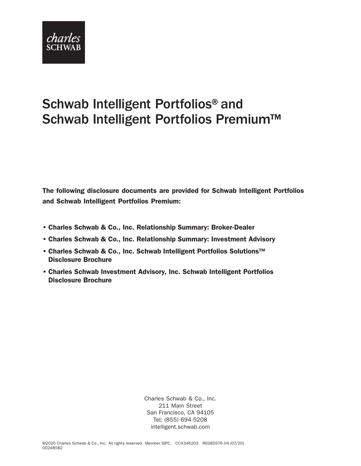

# Schwab Intelligent Portfolios® and Schwab Intelligent Portfolios Premium™

The following disclosure documents are provided for Schwab Intelligent Portfolios and Schwab Intelligent Portfolios Premium:

- Charles Schwab & Co., Inc. Relationship Summary: Broker-Dealer
- Charles Schwab & Co., Inc. Relationship Summary: Investment Advisory
- Charles Schwab & Co., Inc. Schwab Intelligent Portfolios Solutions™ Disclosure Brochure
- Charles Schwab Investment Advisory, Inc. Schwab Intelligent Portfolios Disclosure Brochure

Charles Schwab & Co., Inc. 211 Main Street San Francisco, CA 94105 Tel: (855) 694-5208 [intelligent.schwab.com](https://intelligent.schwab.com/)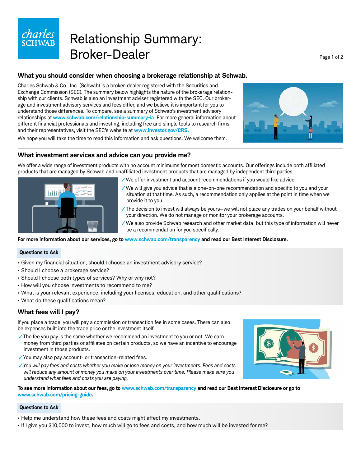

# Relationship Summary: Broker-Dealer Page 1 of 2

# **What you should consider when choosing a brokerage relationship at Schwab.**

Charles Schwab & Co., Inc. (Schwab) is a broker-dealer registered with the Securities and Exchange Commission (SEC). The summary below highlights the nature of the brokerage relationship with our clients. Schwab is also an investment adviser registered with the SEC. Our brokerage and investment advisory services and fees differ, and we believe it is important for you to understand those differences. To compare, see a summary of Schwab's investment advisory relationships at **www.schwab.com/relationship-summary-ia**. For more general information about different financial professionals and investing, including free and simple tools to research firms and their representatives, visit the SEC's website at **www.Investor.gov/CRS.**



We hope you will take the time to read this information and ask questions. We welcome them.

# **What investment services and advice can you provide me?**

We offer a wide range of investment products with no account minimums for most domestic accounts. Our offerings include both affiliated products that are managed by Schwab and unaffiliated investment products that are managed by independent third parties.



- ✓We offer investment and account recommendations if you would like advice.
- $\checkmark$  We will give you advice that is a one-on-one recommendation and specific to you and your situation at that time. As such, a recommendation only applies at the point in time when we provide it to you.
- ✓The decision to invest will always be yours—we will not place any trades on your behalf without your direction. We do not manage or monitor your brokerage accounts.
- ✓We also provide Schwab research and other market data, but this type of information will never be a recommendation for you specifically.

# **For more information about our services, go to www.schwab.com/transparency and read our Best Interest Disclosure.**

# **Questions to Ask**

- Given my financial situation, should I choose an investment advisory service?
- Should I choose a brokerage service?
- Should I choose both types of services? Why or why not?
- How will you choose investments to recommend to me?
- What is your relevant experience, including your licenses, education, and other qualifications?
- What do these qualifications mean?

# **What fees will I pay?**

If you place a trade, you will pay a commission or transaction fee in some cases. There can also be expenses built into the trade price or the investment itself.

✓The fee you pay is the same whether we recommend an investment to you or not. We earn money from third parties or affiliates on certain products, so we have an incentive to encourage investment in those products.

- ✓You may also pay account- or transaction-related fees.
- ✓*You will pay fees and costs whether you make or lose money on your investments. Fees and costs will reduce any amount of money you make on your investments over time. Please make sure you understand what fees and costs you are paying.*

**To see more information about our fees, go to www.schwab.com/transparency and read our Best Interest Disclosure or go to www.schwab.com/pricing-guide.**

# **Questions to Ask**

- Help me understand how these fees and costs might affect my investments.
- If I give you \$10,000 to invest, how much will go to fees and costs, and how much will be invested for me?

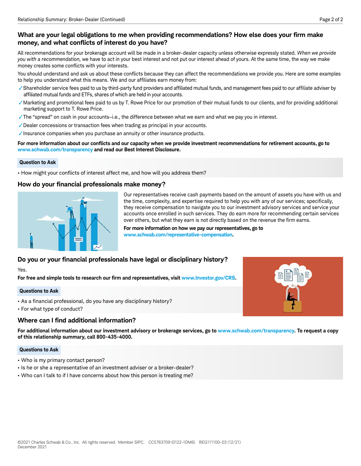All recommendations for your brokerage account will be made in a broker-dealer capacity unless otherwise expressly stated. *When we provide you with a recommendation,* we have to act in your best interest and not put our interest ahead of yours. At the same time, the way we make money creates some conflicts with your interests.

You should understand and ask us about these conflicts because they can affect the recommendations we provide you. Here are some examples to help you understand what this means. We and our affiliates earn money from:

- √Shareholder service fees paid to us by third-party fund providers and affiliated mutual funds, and management fees paid to our affiliate adviser by affiliated mutual funds and ETFs, shares of which are held in your accounts.
- ✓Marketing and promotional fees paid to us by T. Rowe Price for our promotion of their mutual funds to our clients, and for providing additional marketing support to T. Rowe Price.
- ✓The "spread" on cash in your accounts–i.e., the difference between what we earn and what we pay you in interest.
- ✓Dealer concessions or transaction fees when trading as principal in your accounts.
- ✓Insurance companies when you purchase an annuity or other insurance products.

# For more information about our conflicts and our capacity when we provide investment recommendations for retirement accounts, go to **www.schwab.com/transparency and read our Best Interest Disclosure.**

# **Question to Ask**

• How might your conflicts of interest affect me, and how will you address them?

# How do your financial professionals make money?



Our representatives receive cash payments based on the amount of assets you have with us and the time, complexity, and expertise required to help you with any of our services; specifically, they receive compensation to navigate you to our investment advisory services and service your accounts once enrolled in such services. They do earn more for recommending certain services over others, but what they earn is not directly based on the revenue the firm earns.

**For more information on how we pay our representatives, go to www.schwab.com/representative-compensation.** 

# Do you or your financial professionals have legal or disciplinary history?

Yes.

For free and simple tools to research our firm and representatives, visit www.Investor.gov/CRS.

# **Questions to Ask**

- As a financial professional, do you have any disciplinary history?
- For what type of conduct?

# **Where can I find additional information?**

**For additional information about our investment advisory or brokerage services, go to www.schwab.com/transparency. To request a copy of this relationship summary, call 800-435-4000.**

# **Questions to Ask**

- Who is my primary contact person?
- Is he or she a representative of an investment adviser or a broker-dealer?
- Who can I talk to if I have concerns about how this person is treating me?

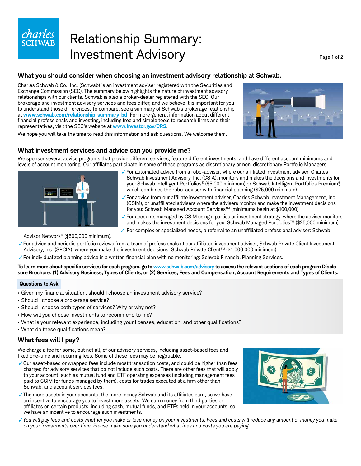# charles

# Relationship Summary: Investment Advisory **Page 1 of 2** Page 1 of 2

# **What you should consider when choosing an investment advisory relationship at Schwab.**

Charles Schwab & Co., Inc. (Schwab) is an investment adviser registered with the Securities and Exchange Commission (SEC). The summary below highlights the nature of investment advisory relationships with our clients. Schwab is also a broker-dealer registered with the SEC. Our brokerage and investment advisory services and fees differ, and we believe it is important for you to understand those differences. To compare, see a summary of Schwab's brokerage relationship at **www.schwab.com/relationship-summary-bd**. For more general information about different financial professionals and investing, including free and simple tools to research firms and their representatives, visit the SEC's website at **www.Investor.gov/CRS**.



We hope you will take the time to read this information and ask questions. We welcome them.

# **What investment services and advice can you provide me?**

We sponsor several advice programs that provide different services, feature different investments, and have different account minimums and levels of account monitoring. Our affiliates participate in some of these programs as discretionary or non-discretionary Portfolio Managers.



- ✓For automated advice from a robo-adviser, where our affi liated investment adviser, Charles Schwab Investment Advisory, Inc. (CSIA), monitors and makes the decisions and investments for you: Schwab Intelligent Portfolios® (\$5,000 minimum) or Schwab Intelligent Portfolios Premium®, which combines the robo-adviser with financial planning (\$25,000 minimum).
- ✓For advice from our affi liate investment adviser, Charles Schwab Investment Management, Inc. (CSIM), or unaffiliated advisers where the advisers monitor and make the investment decisions for you: Schwab Managed Account Services™ (minimums begin at \$100,000).
- ✓For accounts managed by CSIM using a particular investment strategy, where the adviser monitors and makes the investment decisions for you: Schwab Managed Portfolios™ (\$25,000 minimum).
- ✓ For complex or specialized needs, a referral to an unaffi liated professional adviser: Schwab

Advisor Network® (\$500,000 minimum).

- ✓For advice and periodic portfolio reviews from a team of professionals at our affi liated investment adviser, Schwab Private Client Investment Advisory, Inc. (SPCIA), where you make the investment decisions: Schwab Private Client™ (\$1,000,000 minimum).
- $\sqrt{\ }$  For individualized planning advice in a written financial plan with no monitoring: Schwab Financial Planning Services.

# To learn more about specific services for each program, go to www.schwab.com/advisory to access the relevant sections of each program Disclo**sure Brochure: (1) Advisory Business; Types of Clients; or (2) Services, Fees and Compensation; Account Requirements and Types of Clients.**

# **Questions to Ask**

- Given my financial situation, should I choose an investment advisory service?
- Should I choose a brokerage service?
- Should I choose both types of services? Why or why not?
- How will you choose investments to recommend to me?
- What is your relevant experience, including your licenses, education, and other qualifications?
- What do these qualifications mean?

# **What fees will I pay?**

We charge a fee for some, but not all, of our advisory services, including asset-based fees and fixed one-time and recurring fees. Some of these fees may be negotiable.

✓Our asset-based or wrapped fees include most transaction costs, and could be higher than fees charged for advisory services that do not include such costs. There are other fees that will apply to your account, such as mutual fund and ETF operating expenses (including management fees paid to CSIM for funds managed by them), costs for trades executed at a firm other than Schwab, and account services fees.

✓The more assets in your accounts, the more money Schwab and its affi liates earn, so we have an incentive to encourage you to invest more assets. We earn money from third parties or affiliates on certain products, including cash, mutual funds, and ETFs held in your accounts, so we have an incentive to encourage such investments.



✓*You will pay fees and costs whether you make or lose money on your investments. Fees and costs will reduce any amount of money you make on your investments over time. Please make sure you understand what fees and costs you are paying.*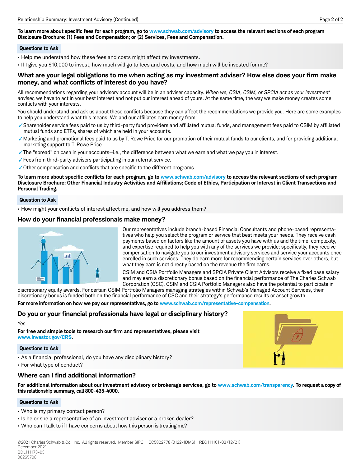To learn more about specific fees for each program, go to www.schwab.com/advisory to access the relevant sections of each program **Disclosure Brochure: (1) Fees and Compensation; or (2) Services, Fees and Compensation.** 

# **Questions to Ask**

- Help me understand how these fees and costs might affect my investments.
- If I give you \$10,000 to invest, how much will go to fees and costs, and how much will be invested for me?

# What are your legal obligations to me when acting as my investment adviser? How else does your firm make money, and what conflicts of interest do you have?

All recommendations regarding your advisory account will be in an adviser capacity. *When we, CSIA, CSIM, or SPCIA act as your investment adviser,* we have to act in your best interest and not put our interest ahead of yours. At the same time, the way we make money creates some conflicts with your interests.

You should understand and ask us about these conflicts because they can affect the recommendations we provide you. Here are some examples to help you understand what this means. We and our affiliates earn money from:

- ✓Shareholder service fees paid to us by third-party fund providers and affi liated mutual funds, and management fees paid to CSIM by affi liated mutual funds and ETFs, shares of which are held in your accounts.
- ✓Marketing and promotional fees paid to us by T. Rowe Price for our promotion of their mutual funds to our clients, and for providing additional marketing support to T. Rowe Price.
- ✓The "spread" on cash in your accounts—i.e., the difference between what we earn and what we pay you in interest.
- ✓Fees from third-party advisers participating in our referral service.
- $\checkmark$  Other compensation and conflicts that are specific to the different programs.

To learn more about specific conflicts for each program, go to www.schwab.com/advisory to access the relevant sections of each program Disclosure Brochure: Other Financial Industry Activities and Affiliations; Code of Ethics, Participation or Interest in Client Transactions and **Personal Trading.** 

# **Question to Ask**

• How might your conflicts of interest affect me, and how will you address them?

# How do your financial professionals make money?



Our representatives include branch-based Financial Consultants and phone-based representatives who help you select the program or service that best meets your needs. They receive cash payments based on factors like the amount of assets you have with us and the time, complexity, and expertise required to help you with any of the services we provide; specifically, they receive compensation to navigate you to our investment advisory services and service your accounts once enrolled in such services. They do earn more for recommending certain services over others, but what they earn is not directly based on the revenue the firm earns.

CSIM and CSIA Portfolio Managers and SPCIA Private Client Advisors receive a fixed base salary and may earn a discretionary bonus based on the financial performance of The Charles Schwab Corporation (CSC). CSIM and CSIA Portfolio Managers also have the potential to participate in

discretionary equity awards. For certain CSIM Portfolio Managers managing strategies within Schwab's Managed Account Services, their discretionary bonus is funded both on the financial performance of CSC and their strategy's performance results or asset growth.

**For more information on how we pay our representatives, go to www.schwab.com/representative-compensation.**

# Do you or your financial professionals have legal or disciplinary history?

Yes.

For free and simple tools to research our firm and representatives, please visit **www.Investor.gov/CRS.**

# **Questions to Ask**

- As a financial professional, do you have any disciplinary history?
- For what type of conduct?

# **Where can I find additional information?**

**For additional information about our investment advisory or brokerage services, go to www.schwab.com/transparency. To request a copy of this relationship summary, call 800-435-4000.**

# **Questions to Ask**

- Who is my primary contact person?
- Is he or she a representative of an investment adviser or a broker-dealer?
- Who can I talk to if I have concerns about how this person is treating me?

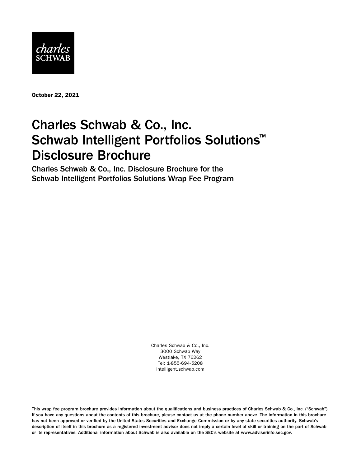

October 22, 2021

# Charles Schwab & Co., Inc. Schwab Intelligent Portfolios Solutions<sup>™</sup> Disclosure Brochure

Charles Schwab & Co., Inc. Disclosure Brochure for the Schwab Intelligent Portfolios Solutions Wrap Fee Program

> Charles Schwab & Co., Inc. 3000 Schwab Way Westlake, TX 76262 Tel: 1-855-694-5208 [intelligent.schwab.com](https://intelligent.schwab.com)

This wrap fee program brochure provides information about the qualifications and business practices of Charles Schwab & Co., Inc. ("Schwab"). If you have any questions about the contents of this brochure, please contact us at the phone number above. The information in this brochure has not been approved or verified by the United States Securities and Exchange Commission or by any state securities authority. Schwab's description of itself in this brochure as a registered investment advisor does not imply a certain level of skill or training on the part of Schwab or its representatives. Additional information about Schwab is also available on the SEC's website at [www.adviserinfo.sec.gov](http://www.adviserinfo.sec.gov).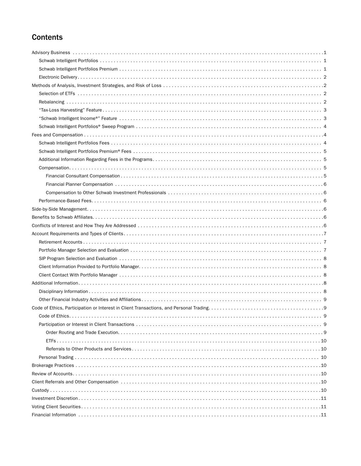# **Contents**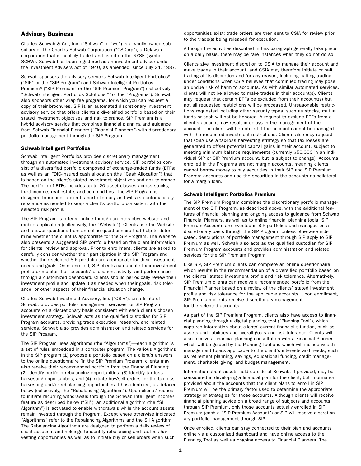# <span id="page-7-0"></span>Advisory Business

Charles Schwab & Co., Inc. ("Schwab" or "we") is a wholly owned subsidiary of The Charles Schwab Corporation ("CSCorp"), a Delaware corporation that is publicly traded and listed on the NYSE (symbol: SCHW). Schwab has been registered as an investment advisor under the Investment Advisers Act of 1940, as amended, since July 24, 1987.

Schwab sponsors the advisory services Schwab Intelligent Portfolios® ("SIP" or the "SIP Program") and Schwab Intelligent Portfolios Premium® ("SIP Premium" or the "SIP Premium Program") (collectively, "Schwab Intelligent Portfolios Solutions™" or the "Programs"). Schwab also sponsors other wrap fee programs, for which you can request a copy of their brochures. SIP is an automated discretionary investment advisory service that offers clients a diversified portfolio based on their stated investment objectives and risk tolerance. SIP Premium is a hybrid advisory service that combines financial planning and guidance from Schwab Financial Planners ("Financial Planners") with discretionary portfolio management through the SIP Program.

# Schwab Intelligent Portfolios

Schwab Intelligent Portfolios provides discretionary management through an automated investment advisory service. SIP portfolios consist of a diversified portfolio composed of exchange-traded funds (ETFs), as well as an FDIC-insured cash allocation (the "Cash Allocation") that is based on the client's stated investment objectives and risk tolerance. The portfolio of ETFs includes up to 20 asset classes across stocks, fixed income, real estate, and commodities. The SIP Program is designed to monitor a client's portfolio daily and will also automatically rebalance as needed to keep a client's portfolio consistent with the selected risk profile.

The SIP Program is offered online through an interactive website and mobile application (collectively, the "Website"). Clients use the Website and answer questions from an online questionnaire that help to determine whether the client is appropriate for the SIP Program. The Website also presents a suggested SIP portfolio based on the client information for clients' review and approval. Prior to enrollment, clients are asked to carefully consider whether their participation in the SIP Program and whether their selected SIP portfolio are appropriate for their investment needs and goals. Once enrolled, SIP clients can update their investment profile or monitor their accounts' allocation, activity, and performance through a customized dashboard. Clients should periodically review their investment profile and update it as needed when their goals, risk tolerance, or other aspects of their financial situation change.

Charles Schwab Investment Advisory, Inc. ("CSIA"), an affiliate of Schwab, provides portfolio management services for SIP Program accounts on a discretionary basis consistent with each client's chosen investment strategy. Schwab acts as the qualified custodian for SIP Program accounts, providing trade execution, research, and related services. Schwab also provides administration and related services for the SIP Program.

The SIP Program uses algorithms (the "Algorithms")—each algorithm is a set of rules embedded in a computer program: The various Algorithms in the SIP program (1) propose a portfolio based on a client's answers to the online questionnaire (in the SIP Premium Program, clients may also receive their recommended portfolio from the Financial Planner); (2) identify portfolio rebalancing opportunities; (3) identify tax-loss harvesting opportunities; and (4) initiate buy/sell orders for the tax-loss harvesting and/or rebalancing opportunities it has identified, as detailed below (collectively, the "Rebalancing Algorithms"). Upon clients' request to initiate recurring withdrawals through the Schwab Intelligent Income® feature as described below ("SII"), an additional algorithm (the "SII Algorithm") is activated to enable withdrawals while the account assets remain invested through the Program. Except where otherwise indicated, "Algorithms" refer to the Rebalancing Algorithms and the SII Algorithm. The Rebalancing Algorithms are designed to perform a daily review of client accounts and holdings to identify rebalancing and tax-loss harvesting opportunities as well as to initiate buy or sell orders when such

opportunities exist; trade orders are then sent to CSIA for review prior to the trade(s) being released for execution.

Although the activities described in this paragraph generally take place on a daily basis, there may be rare instances when they do not do so.

Clients give investment discretion to CSIA to manage their account and make trades in their account, and CSIA may therefore initiate or halt trading at its discretion and for any reason, including halting trading under conditions when CSIA believes that continued trading may pose an undue risk of harm to accounts. As with similar automated services, clients will not be allowed to make trades in their account(s). Clients may request that certain ETFs be excluded from their account(s) but not all requested restrictions will be processed. Unreasonable restrictions requested including other security types, such as stocks, mutual funds or cash will not be honored. A request to exclude ETFs from a client's account may result in delays in the management of the account. The client will be notified if the account cannot be managed with the requested investment restrictions. Clients also may request that CSIA use a tax-loss harvesting strategy so that tax losses are generated to offset potential capital gains in their account, subject to meeting minimum balance requirements (currently \$50,000 in an individual SIP or SIP Premium account, but is subject to change). Accounts enrolled in the Programs are not margin accounts, meaning clients cannot borrow money to buy securities in their SIP and SIP Premium Program accounts and use the securities in the accounts as collateral for a margin loan.

# Schwab Intelligent Portfolios Premium

The SIP Premium Program combines the discretionary portfolio management of the SIP Program, as described above, with the additional features of financial planning and ongoing access to guidance from Schwab Financial Planners, as well as to online financial planning tools. SIP Premium Accounts are invested in SIP portfolios and managed on a discretionary basis through the SIP Program. Unless otherwise indicated, descriptions of portfolio management through SIP apply to SIP Premium as well. Schwab also acts as the qualified custodian for SIP Premium Program accounts and provides administration and related services for the SIP Premium Program.

Like SIP, SIP Premium clients can complete an online questionnaire which results in the recommendation of a diversified portfolio based on the clients' stated investment profile and risk tolerance. Alternatively, SIP Premium clients can receive a recommended portfolio from the Financial Planner based on a review of the clients' stated investment profile and risk tolerance for the applicable accounts. Upon enrollment, SIP Premium clients receive discretionary management for the selected accounts.

As part of the SIP Premium Program, clients also have access to financial planning through a digital planning tool ("Planning Tool"), which captures information about clients' current financial situation, such as assets and liabilities and overall goals and risk tolerance. Clients will also receive a financial planning consultation with a Financial Planner, which will be guided by the Planning Tool and which will include wealth management topics applicable to the client's interests and needs, such as retirement planning, savings, educational funding, credit management, charitable giving, and budget management.

Information about assets held outside of Schwab, if provided, may be considered in developing a financial plan for the client, but information provided about the accounts that the client plans to enroll in SIP Premium will be the primary factor used to determine the appropriate strategy or strategies for those accounts. Although clients will receive financial planning advice on a broad range of subjects and accounts through SIP Premium, only those accounts actually enrolled in SIP Premium (each a "SIP Premium Account") or SIP will receive discretionary portfolio management through SIP.

Once enrolled, clients can stay connected to their plan and accounts online via a customized dashboard and have online access to the Planning Tool as well as ongoing access to Financial Planners. The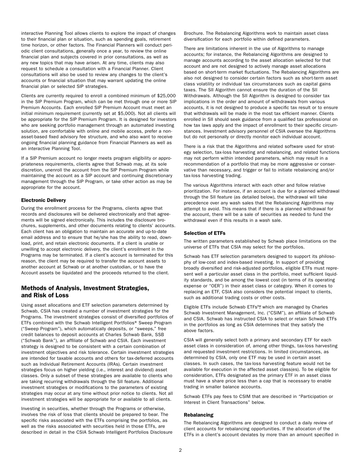<span id="page-8-0"></span>interactive Planning Tool allows clients to explore the impact of changes to their financial plan or situation, such as spending goals, retirement time horizon, or other factors. The Financial Planners will conduct periodic client consultations, generally once a year, to review the online financial plan and subjects covered in prior consultations, as well as any new topics that may have arisen. At any time, clients may also request to schedule a consultation with a Financial Planner. Client consultations will also be used to review any changes to the client's accounts or financial situation that may warrant updating the online financial plan or selected SIP strategies.

Clients are currently required to enroll a combined minimum of \$25,000 in the SIP Premium Program, which can be met through one or more SIP Premium Accounts. Each enrolled SIP Premium Account must meet an initial minimum requirement (currently set at \$5,000). Not all clients will be appropriate for the SIP Premium Program. It is designed for investors who are seeking portfolio management through an automated investing solution, are comfortable with online and mobile access, prefer a nonasset-based fixed advisory fee structure, and who also want to receive ongoing financial planning guidance from Financial Planners as well as an interactive Planning Tool.

If a SIP Premium account no longer meets program eligibility or appropriateness requirements, clients agree that Schwab may, at its sole discretion, unenroll the account from the SIP Premium Program while maintaining the account as a SIP account and continuing discretionary management through the SIP Program, or take other action as may be appropriate for the account.

# Electronic Delivery

During the enrollment process for the Programs, clients agree that records and disclosures will be delivered electronically and that agreements will be signed electronically. This includes the disclosure brochures, supplements, and other documents relating to clients' accounts. Each client has an obligation to maintain an accurate and up-to-date email address and to ensure that he/she has the ability to read, download, print, and retain electronic documents. If a client is unable or unwilling to accept electronic delivery, the client's enrollment in the Programs may be terminated. If a client's account is terminated for this reason, the client may be required to transfer the account assets to another account at Schwab or at another custodian, or to have the Account assets be liquidated and the proceeds returned to the client.

# Methods of Analysis, Investment Strategies, and Risk of Loss

Using asset allocations and ETF selection parameters determined by Schwab, CSIA has created a number of investment strategies for the Programs. The investment strategies consist of diversified portfolios of ETFs combined with the Schwab Intelligent Portfolios® Sweep Program ("Sweep Program"), which automatically deposits, or "sweeps," free credit balances to deposit accounts at Charles Schwab Bank, SSB ("Schwab Bank"), an affiliate of Schwab and CSIA. Each investment strategy is designed to be consistent with a certain combination of investment objectives and risk tolerance. Certain investment strategies are intended for taxable accounts and others for tax-deferred accounts such as Individual Retirement Accounts (IRAs). Certain investment strategies focus on higher yielding (i.e., interest and dividend) asset classes. Only a subset of these strategies are available to clients who are taking recurring withdrawals through the SII feature. Additional investment strategies or modifications to the parameters of existing strategies may occur at any time without prior notice to clients. Not all investment strategies will be appropriate for or available to all clients.

Investing in securities, whether through the Programs or otherwise, involves the risk of loss that clients should be prepared to bear. The specific risks associated with the ETFs comprising the portfolios, as well as the risks associated with securities held in those ETFs, are described in detail in the CSIA Schwab Intelligent Portfolios Disclosure

Brochure. The Rebalancing Algorithms work to maintain asset class diversification for each portfolio within defined parameters.

There are limitations inherent in the use of Algorithms to manage accounts; for instance, the Rebalancing Algorithms are designed to manage accounts according to the asset allocation selected for that account and are not designed to actively manage asset allocations based on short-term market fluctuations. The Rebalancing Algorithms are also not designed to consider certain factors such as short-term asset class volatility or individual tax circumstances such as capital gains taxes. The SII Algorithm cannot ensure the duration of the SII Withdrawals. Although the SII Algorithm is designed to consider tax implications in the order and amount of withdrawals from various accounts, it is not designed to produce a specific tax result or to ensure that withdrawals will be made in the most tax efficient manner. Clients enrolled in SII should seek guidance from a qualified tax professional on how tax laws apply and the impact of enrollment to their specific circumstances. Investment advisory personnel of CSIA oversee the Algorithms but do not personally or directly monitor each individual account.

There is a risk that the Algorithms and related software used for strategy selection, tax-loss harvesting and rebalancing, and related functions may not perform within intended parameters, which may result in a recommendation of a portfolio that may be more aggressive or conservative than necessary, and trigger or fail to initiate rebalancing and/or tax-loss harvesting trading.

The various Algorithms interact with each other and follow relative prioritization. For instance, if an account is due for a planned withdrawal through the SII feature (as detailed below), the withdrawal will take precedence over any wash sales that the Rebalancing Algorithms may attempt to avoid. This means that if there is a planned withdrawal for the account, there will be a sale of securities as needed to fund the withdrawal even if this results in a wash sale.

# Selection of ETFs

The written parameters established by Schwab place limitations on the universe of ETFs that CSIA may select for the portfolios.

Schwab has ETF selection parameters designed to support its philosophy of low-cost and index-based investing. In support of providing broadly diversified and risk-adjusted portfolios, eligible ETFs must represent well a particular asset class in the portfolio, meet sufficient liquidity standards, and be among the lowest cost (in terms of its operating expense or "OER") in their asset class or category. When it comes to replacing an ETF, CSIA also considers the potential impact to clients, such as additional trading costs or other costs.

Eligible ETFs include Schwab ETFs™, which are managed by Charles Schwab Investment Management, Inc. ("CSIM"), an affiliate of Schwab and CSIA. Schwab has instructed CSIA to select or retain Schwab ETFs in the portfolios as long as CSIA determines that they satisfy the above factors.

CSIA will generally select both a primary and secondary ETF for each asset class in consideration of, among other things, tax-loss harvesting and requested investment restrictions. In limited circumstances, as determined by CSIA, only one ETF may be used in certain asset classes. In such cases, the tax-loss harvesting feature would not be available for execution in the affected asset class(es). To be eligible for consideration, ETFs designated as the primary ETF in an asset class must have a share price less than a cap that is necessary to enable trading in smaller balance accounts.

Schwab ETFs pay fees to CSIM that are described in "Participation or Interest in Client Transactions" below.

# Rebalancing

The Rebalancing Algorithms are designed to conduct a daily review of client accounts for rebalancing opportunities. If the allocation of the ETFs in a client's account deviates by more than an amount specified in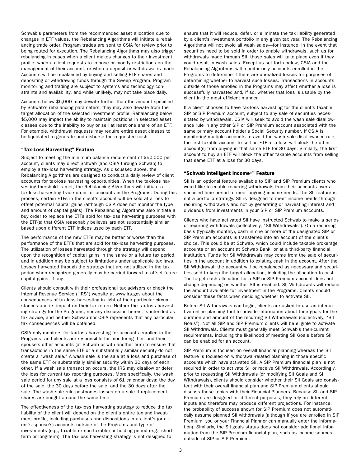<span id="page-9-0"></span>Schwab's parameters from the recommended asset allocation due to changes in ETF values, the Rebalancing Algorithms will initiate a rebalancing trade order. Program trades are sent to CSIA for review prior to being routed for execution. The Rebalancing Algorithms may also trigger rebalancing in cases when a client makes changes to their investment profile, when a client requests to impose or modify restrictions on the management of their account, or when a deposit or withdrawal is made. Accounts will be rebalanced by buying and selling ETF shares and depositing or withdrawing funds through the Sweep Program. Program monitoring and trading are subject to systems and technology constraints and availability, and while unlikely, may not take place daily.

Accounts below \$5,000 may deviate further than the amount specified by Schwab's rebalancing parameters; they may also deviate from the target allocation of the selected investment profile. Rebalancing below \$5,000 may impact the ability to maintain positions in selected asset classes due to the inability to buy or sell at least one share of an ETF. For example, withdrawal requests may require entire asset classes to be liquidated to generate and disburse the requested cash.

# "Tax-Loss Harvesting" Feature

Subject to meeting the minimum balance requirement of \$50,000 per account, clients may direct Schwab (and CSIA through Schwab) to employ a tax-loss harvesting strategy. As discussed above, the Rebalancing Algorithms are designed to conduct a daily review of client accounts for tax-loss harvesting opportunities. When the tax-loss harvesting threshold is met, the Rebalancing Algorithms will initiate a tax-loss harvesting trade order for accounts in the Programs. During this process, certain ETFs in the client's account will be sold at a loss to offset potential capital gains (although CSIA does not monitor the type and amount of capital gains). The Rebalancing Algorithms also initiate a buy order to replace the ETFs sold for tax-loss harvesting purposes with the ETF(s) that CSIA reasonably believes are not substantially similar based upon different ETF indices used by each ETF.

The performance of the new ETFs may be better or worse than the performance of the ETFs that are sold for tax-loss harvesting purposes. The utilization of losses harvested through the strategy will depend upon the recognition of capital gains in the same or a future tax period, and in addition may be subject to limitations under applicable tax laws. Losses harvested through the strategy that are not utilized in the tax period when recognized generally may be carried forward to offset future capital gains, if any.

Clients should consult with their professional tax advisors or check the Internal Revenue Service ("IRS") website at www.irs.gov about the consequences of tax-loss harvesting in light of their particular circumstances and its impact on their tax return. Neither the tax-loss harvesting strategy for the Programs, nor any discussion herein, is intended as tax advice, and neither Schwab nor CSIA represents that any particular tax consequences will be obtained.

CSIA only monitors for tax-loss harvesting for accounts enrolled in the Programs, and clients are responsible for monitoring their and their spouse's other accounts (at Schwab or with another firm) to ensure that transactions in the same ETF or a substantially similar security do not create a "wash sale." A wash sale is the sale at a loss and purchase of the same ETF or substantially similar security within 30 days of each other. If a wash sale transaction occurs, the IRS may disallow or defer the loss for current tax reporting purposes. More specifically, the wash sale period for any sale at a loss consists of 61 calendar days: the day of the sale, the 30 days before the sale, and the 30 days after the sale. The wash sale rule postpones losses on a sale if replacement shares are bought around the same time.

The effectiveness of the tax-loss harvesting strategy to reduce the tax liability of the client will depend on the client's entire tax and investment profile, including purchases and dispositions in a client's (or client's spouse's) accounts outside of the Programs and type of investments (e.g., taxable or non-taxable) or holding period (e.g., shortterm or long-term). The tax-loss harvesting strategy is not designed to

ensure that it will reduce, defer, or eliminate the tax liability generated by a client's investment portfolio in any given tax year. The Rebalancing Algorithms will not avoid all wash sales—for instance, in the event that securities need to be sold in order to enable withdrawals, such as for withdrawals made through SII, those sales will take place even if they could result in wash sales. Except as set forth below, CSIA and the Rebalancing Algorithms will monitor only accounts enrolled in the Programs to determine if there are unrealized losses for purposes of determining whether to harvest such losses. Transactions in accounts outside of those enrolled in the Programs may affect whether a loss is successfully harvested and, if so, whether that loss is usable by the client in the most efficient manner.

If a client chooses to have tax-loss harvesting for the client's taxable SIP or SIP Premium account, subject to any sale of securities necessitated by withdrawals, CSIA will seek to avoid the wash sale disallowance rule in any other SIP or SIP Premium account associated with the same primary account holder's Social Security number. If CSIA is monitoring multiple accounts to avoid the wash sale disallowance rule, the first taxable account to sell an ETF at a loss will block the other account(s) from buying in that same ETF for 30 days. Similarly, the first account to buy an ETF will block the other taxable accounts from selling that same ETF at a loss for 30 days.

# "Schwab Intelligent Income®" Feature

SII is an optional feature available to SIP and SIP Premium clients who would like to enable recurring withdrawals from their accounts over a specified time period to meet ongoing income needs. The SII feature is not a portfolio strategy. SII is designed to meet income needs through recurring withdrawals and not by generating or harvesting interest and dividends from investments in your SIP or SIP Premium accounts.

Clients who have activated SII have instructed Schwab to make a series of recurring withdrawals (collectively, "SII Withdrawals"). On a recurring basis (typically monthly), cash in one or more of the designated SIP or SIP Premium accounts is transferred into an account of the client's choice. This could be at Schwab, which could include taxable brokerage accounts or an account at Schwab Bank, or at a third-party financial institution. Funds for SII Withdrawals may come from the sale of securities in the account in addition to existing cash in the account. After the SII Withdrawal, the account will be rebalanced as necessary and securities sold to keep the target allocation, including the allocation to cash. The target cash allocation for a SIP or SIP Premium account does not change depending on whether SII is enabled. SII Withdrawals will reduce the amount available for investment in the Programs. Clients should consider these facts when deciding whether to activate SII.

Before SII Withdrawals can begin, clients are asked to use an interactive online planning tool to provide information about their goals for the duration and amount of the recurring SII Withdrawals (collectively, "SII Goals"). Not all SIP and SIP Premium clients will be eligible to activate SII Withdrawals. Clients must generally meet Schwab's then-current requirements, including the likelihood of meeting SII Goals before SII can be enabled for an account.

SIP Premium is focused on overall financial planning whereas the SII feature is focused on withdrawal-related planning in those specific accounts which have activated SII. A SIP Premium financial plan is not required in order to activate SII or receive SII Withdrawals. Accordingly, prior to requesting SII Withdrawals (or modifying SII Goals and SII Withdrawals), clients should consider whether their SII Goals are consistent with their overall financial plan and SIP Premium clients should discuss these topics with their Financial Planners. Because SII and SIP Premium are designed for different purposes, they rely on different inputs and therefore may produce different projections. For instance, the probability of success shown for SIP Premium does not automatically assume planned SII withdrawals (although if you are enrolled in SIP Premium, you or your Financial Planner can manually enter the information). Similarly, the SII goals status does not consider additional information from the SIP Premium financial plan, such as income sources outside of SIP or SIP Premium.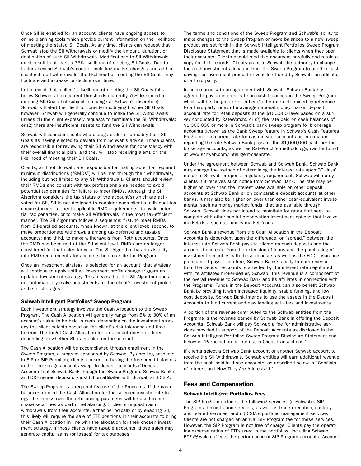<span id="page-10-0"></span>Once SII is enabled for an account, clients have ongoing access to online planning tools which provide current information on the likelihood of meeting the stated SII Goals. At any time, clients can request that Schwab stop the SII Withdrawals or modify the amount, duration, or destination of such SII Withdrawals. Modifications to SII Withdrawals must result in at least a 75% likelihood of meeting SII Goals. Due to factors beyond Schwab's control, including market changes and ad hoc client-initiated withdrawals, the likelihood of meeting the SII Goals may fluctuate and increase or decline over time.

In the event that a client's likelihood of meeting the SII Goals falls below Schwab's then-current thresholds (currently 75% likelihood of meeting SII Goals but subject to change at Schwab's discretion), Schwab will alert the client to consider modifying his/her SII Goals; however, Schwab will generally continue to make the SII Withdrawals unless (1) the client expressly requests to terminate the SII Withdrawals; or (2) there are insufficient assets to fund the SII Withdrawals.

Schwab will consider clients who disregard alerts to modify their SII Goals as having elected to deviate from Schwab's advice. Those clients are responsible for reviewing their SII Withdrawals for consistency with their overall financial plan, and they will stop receiving alerts on the likelihood of meeting their SII Goals.

Clients, and not Schwab, are responsible for making sure that required minimum distributions ("RMDs") will be met through their withdrawals, including but not limited to any SII Withdrawals. Clients should review their RMDs and consult with tax professionals as needed to avoid potential tax penalties for failure to meet RMDs. Although the SII Algorithm considers the tax status of the account(s) which are activated for SII, SII is not designed to consider each client's individual tax circumstances, to meet applicable RMD requirements, to avoid potential tax penalties, or to make SII Withdrawals in the most tax-efficient manner. The SII Algorithm follows a sequence: first, to meet RMDs from SII-enrolled accounts, when known, at the client level; second, to make proportionate withdrawals among tax-deferred and taxable accounts; and third, to make withdrawals from Roth accounts. Once the RMD has been met at the SII client level, RMDs are no longer considered for that calendar year. The SII Algorithm has no visibility into RMD requirements for accounts held outside the Program.

Once an investment strategy is selected for an account, that strategy will continue to apply until an investment profile change triggers an updated investment strategy. This means that the SII Algorithm does not automatically make adjustments for the client's investment profile as he or she ages.

# Schwab Intelligent Portfolios® Sweep Program

Each investment strategy involves the Cash Allocation to the Sweep Program. The Cash Allocation will generally range from 6% to 30% of an account's value to be held in cash, depending on the investment strategy the client selects based on the client's risk tolerance and time horizon. The target Cash Allocation for an account does not differ depending on whether SII is enabled on the account.

The Cash Allocation will be accomplished through enrollment in the Sweep Program, a program sponsored by Schwab. By enrolling accounts in SIP or SIP Premium, clients consent to having the free credit balances in their brokerage accounts swept to deposit accounts ("Deposit Accounts") at Schwab Bank through the Sweep Program. Schwab Bank is an FDIC-insured depository institution affiliated with Schwab and CSIA.

The Sweep Program is a required feature of the Programs. If the cash balances exceed the Cash Allocation for the selected investment strategy, the excess over the rebalancing parameter will be used to purchase securities as part of rebalancing. If clients request cash withdrawals from their accounts, either periodically or by enabling SII, this likely will require the sale of ETF positions in their accounts to bring their Cash Allocation in line with the allocation for their chosen investment strategy. If those clients have taxable accounts, those sales may generate capital gains (or losses) for tax purposes.

The terms and conditions of the Sweep Program and Schwab's ability to make changes to the Sweep Program or move balances to a new sweep product are set forth in the Schwab Intelligent Portfolios Sweep Program Disclosure Statement that is made available to clients when they open their accounts. Clients should read this document carefully and retain a copy for their records. Clients grant to Schwab the authority to change the cash investment allocation from the Sweep Program to another cash savings or investment product or vehicle offered by Schwab, an affiliate, or a third party.

In accordance with an agreement with Schwab, Schwab Bank has agreed to pay an interest rate on cash balances in the Sweep Program which will be the greater of either (1) the rate determined by reference to a third-party index (the average national money market deposit account rate for retail deposits at the \$100,000 level based on a survey conducted by RateWatch), or (2) the rate paid on cash balances of \$1,000,000 or more in Schwab's bank sweep program for brokerage accounts (known as the Bank Sweep feature in Schwab's Cash Features Program). The current rate for cash in your account and information regarding the rate Schwab Bank pays for the \$1,000,000 cash tier for brokerage accounts, as well as RateWatch's methodology, can be found at [www.schwab.com/intelligent-cashrate](https://www.schwab.com/intelligent-cashrate).

Under the agreement between Schwab and Schwab Bank, Schwab Bank may change the method of determining the interest rate upon 30 days' notice to Schwab or upon a regulatory requirement. Schwab will notify clients if it receives such notice from Schwab Bank. The rate may be higher or lower than the interest rates available on other deposit accounts at Schwab Bank or on comparable deposit accounts at other banks. It may also be higher or lower than other cash-equivalent investments, such as money market funds, that are available through Schwab. Schwab does not intend to negotiate for rates that seek to compete with other capital preservation investment options that involve market risk, such as money market funds.

Schwab Bank's revenue from the Cash Allocation in the Deposit Accounts is dependent upon the difference, or "spread," between the interest rate Schwab Bank pays to clients on such deposits and the amount it can earn from the extension of loans and the purchasing of investment securities with these deposits as well as the FDIC insurance premiums it pays. Therefore, Schwab Bank's ability to earn revenue from the Deposit Accounts is affected by the interest rate negotiated with its affiliated broker-dealer, Schwab. This revenue is a component of the overall revenue to Schwab Bank and its affiliates in connection with the Programs. Funds in the Deposit Accounts can also benefit Schwab Bank by providing it with increased liquidity, stable funding, and low cost deposits. Schwab Bank intends to use the assets in the Deposit Accounts to fund current and new lending activities and investments.

A portion of the revenue contributed to the Schwab entities from the Programs is the revenue earned by Schwab Bank in offering the Deposit Accounts. Schwab Bank will pay Schwab a fee for administrative services provided in support of the Deposit Accounts as disclosed in the Schwab Intelligent Portfolios Sweep Program Disclosure Statement and below in "Participation or Interest in Client Transactions."

If clients select a Schwab Bank account or another Schwab account to receive the SII Withdrawals, Schwab entities will earn additional revenue from the cash held in those accounts, as described below in "Conflicts of Interest and How They Are Addressed."

# Fees and Compensation

#### Schwab Intelligent Portfolios Fees

The SIP Program includes the following services: (i) Schwab's SIP Program administration services, as well as trade execution, custody, and related services; and (ii) CSIA's portfolio management services. Clients are not charged an annual SIP Program fee for these services. However, the SIP Program is not free of charge. Clients pay the operating expense ratios of ETFs used in the portfolios, including Schwab ETFs™, which affects the performance of SIP Program accounts. Account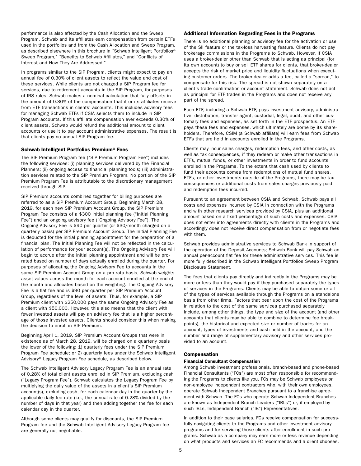<span id="page-11-0"></span>performance is also affected by the Cash Allocation and the Sweep Program. Schwab and its affiliates earn compensation from certain ETFs used in the portfolios and from the Cash Allocation and Sweep Program, as described elsewhere in this brochure in "Schwab Intelligent Portfolios® Sweep Program," "Benefits to Schwab Affiliates," and "Conflicts of Interest and How They Are Addressed."

In programs similar to the SIP Program, clients might expect to pay an annual fee of 0.30% of client assets to reflect the value and cost of these services. While clients are not charged a SIP Program fee for services, due to retirement accounts in the SIP Program, for purposes of IRS rules, Schwab makes a nominal calculation that fully offsets in the amount of 0.30% of the compensation that it or its affiliates receive from ETF transactions in clients' accounts. This includes advisory fees for managing Schwab ETFs if CSIA selects them to include in SIP Program accounts. If this affiliate compensation ever exceeds 0.30% of client assets, Schwab would refund the additional amount to client accounts or use it to pay account administrative expenses. The result is that clients pay no annual SIP Program fee.

# Schwab Intelligent Portfolios Premium® Fees

The SIP Premium Program fee ("SIP Premium Program Fee") includes the following services: (i) planning services delivered by the Financial Planners; (ii) ongoing access to financial planning tools; (iii) administration services related to the SIP Premium Program. No portion of the SIP Premium Program Fee is attributable to the discretionary management received through SIP.

SIP Premium accounts combined together for billing purposes are referred to as a SIP Premium Account Group. Beginning March 28, 2019, for each new SIP Premium Account Group, the SIP Premium Program Fee consists of a \$300 initial planning fee ("Initial Planning Fee") and an ongoing advisory fee ("Ongoing Advisory Fee"). The Ongoing Advisory Fee is \$90 per quarter (or \$30/month charged on a quarterly basis) per SIP Premium Account Group. The Initial Planning Fee is deducted for the initial planning appointment for the preparation of a financial plan. The Initial Planning Fee will not be reflected in the calculation of performance for your account(s). The Ongoing Advisory Fee will begin to accrue after the initial planning appointment and will be prorated based on number of days actually enrolled during the quarter. For purposes of allocating the Ongoing Advisory Fee to accounts in the same SIP Premium Account Group on a pro rata basis, Schwab weights asset values across the month for each account enrolled at the end of the month and allocates based on the weighting. The Ongoing Advisory Fee is a flat fee and is \$90 per quarter per SIP Premium Account Group, regardless of the level of assets. Thus, for example, a SIP Premium client with \$250,000 pays the same Ongoing Advisory Fee as a client with \$50,000. However, this also means that the client with fewer invested assets will pay an advisory fee that is a higher percentage of those invested assets. Clients should consider this when making the decision to enroll in SIP Premium.

Beginning April 1, 2019, SIP Premium Account Groups that were in existence as of March 28, 2019, will be charged on a quarterly basis the lower of the following: 1) quarterly fees under the SIP Premium Program Fee schedule; or 2) quarterly fees under the Schwab Intelligent Advisory® Legacy Program Fee schedule, as described below.

The Schwab Intelligent Advisory Legacy Program Fee is an annual rate of 0.28% of total client assets enrolled in SIP Premium, excluding cash ("Legacy Program Fee"). Schwab calculates the Legacy Program Fee by multiplying the daily value of the assets in a client's SIP Premium account(s), excluding cash, for each calendar day in the quarter by the applicable daily fee rate (i.e., the annual rate of 0.28% divided by the number of days in that year) and then adding together the fee for each calendar day in the quarter.

Although some clients may qualify for discounts, the SIP Premium Program fee and the Schwab Intelligent Advisory Legacy Program fee are generally not negotiable.

#### Additional Information Regarding Fees in the Programs

There is no additional planning or advisory fee for the activation or use of the SII feature or the tax-loss harvesting feature. Clients do not pay brokerage commissions in the Programs to Schwab. However, if CSIA uses a broker-dealer other than Schwab that is acting as principal (for its own account) to buy or sell ETF shares for clients, that broker-dealer accepts the risk of market price and liquidity fluctuations when executing customer orders. The broker-dealer adds a fee, called a "spread," to compensate for this risk. The spread is not shown separately on a client's trade confirmation or account statement. Schwab does not act as principal for ETF trades in the Programs and does not receive any part of the spread.

Each ETF, including a Schwab ETF, pays investment advisory, administrative, distribution, transfer agent, custodial, legal, audit, and other customary fees and expenses, as set forth in the ETF prospectus. An ETF pays these fees and expenses, which ultimately are borne by its shareholders. Therefore, CSIM (a Schwab affiliate) will earn fees from Schwab ETFs that are held in accounts enrolled in the Programs.

Clients may incur sales charges, redemption fees, and other costs, as well as tax consequences, if they redeem or make other transactions in ETFs, mutual funds, or other investments in order to fund accounts enrolled in the Programs. To the extent that cash used by clients to fund their accounts comes from redemptions of mutual fund shares, ETFs, or other investments outside of the Programs, there may be tax consequences or additional costs from sales charges previously paid and redemption fees incurred.

Pursuant to an agreement between CSIA and Schwab, Schwab pays all costs and expenses incurred by CSIA in connection with the Programs and with other research services provided by CSIA, plus an additional amount based on a fixed percentage of such costs and expenses. CSIA does not enter into agreements directly with clients in the Programs and accordingly does not receive direct compensation from or negotiate fees with them.

Schwab provides administrative services to Schwab Bank in support of the operation of the Deposit Accounts; Schwab Bank will pay Schwab an annual per-account flat fee for these administrative services. This fee is more fully described in the Schwab Intelligent Portfolios Sweep Program Disclosure Statement.

The fees that clients pay directly and indirectly in the Programs may be more or less than they would pay if they purchased separately the types of services in the Programs. Clients may be able to obtain some or all of the types of services available through the Programs on a standalone basis from other firms. Factors that bear upon the cost of the Programs in relation to the cost of the same services purchased separately include, among other things, the type and size of the account (and other accounts that clients may be able to combine to determine fee breakpoints), the historical and expected size or number of trades for an account, types of investments and cash held in the account, and the number and range of supplementary advisory and other services provided to an account.

# Compensation

# Financial Consultant Compensation

Among Schwab investment professionals, branch-based and phone-based Financial Consultants ("FCs") are most often responsible for recommending the Programs to clients like you. FCs may be Schwab employees or non-employee independent contractors who, with their own employees, operate Schwab Independent Branches pursuant to a franchise agreement with Schwab. The FCs who operate Schwab Independent Branches are known as Independent Branch Leaders ("IBLs") or, if employed by such IBLs, Independent Branch ("IB") Representatives.

In addition to their base salaries, FCs receive compensation for successfully navigating clients to the Programs and other investment advisory programs and for servicing those clients after enrollment in such programs. Schwab as a company may earn more or less revenue depending on what products and services an FC recommends and a client chooses.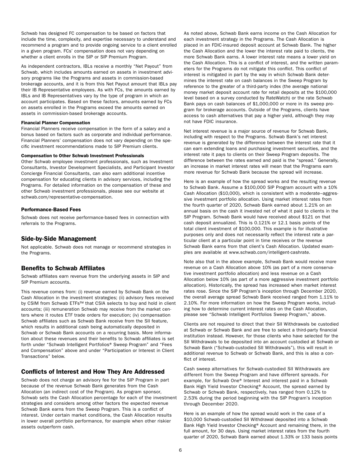<span id="page-12-0"></span>Schwab has designed FC compensation to be based on factors that include the time, complexity, and expertise necessary to understand and recommend a program and to provide ongoing service to a client enrolled in a given program. FCs' compensation does not vary depending on whether a client enrolls in the SIP or SIP Premium Program.

As independent contractors, IBLs receive a monthly "Net Payout" from Schwab, which includes amounts earned on assets in investment advisory programs like the Programs and assets in commission-based brokerage accounts, and it is from this Net Payout amount that IBLs pay their IB Representative employees. As with FCs, the amounts earned by IBLs and IB Representatives vary by the type of program in which an account participates. Based on these factors, amounts earned by FCs on assets enrolled in the Programs exceed the amounts earned on assets in commission-based brokerage accounts.

#### Financial Planner Compensation

Financial Planners receive compensation in the form of a salary and a bonus based on factors such as corporate and individual performance. Financial Planners' compensation does not vary depending on the specific investment recommendations made to SIP Premium clients.

#### Compensation to Other Schwab Investment Professionals

Other Schwab employee investment professionals, such as Investment Consultants, Investor Development Specialists, and Participant Investor Concierge Financial Consultants, can also earn additional incentive compensation for educating clients in advisory services, including the Programs. For detailed information on the compensation of these and other Schwab investment professionals, please see our website at [schwab.com/representative-compensation](https://schwab.com/representative-compensation).

## Performance-Based Fees

Schwab does not receive performance-based fees in connection with referrals to the Programs.

# Side-by-Side Management

Not applicable. Schwab does not manage or recommend strategies in the Programs.

# Benefits to Schwab Affiliates

Schwab affiliates earn revenue from the underlying assets in SIP and SIP Premium accounts.

This revenue comes from: (i) revenue earned by Schwab Bank on the Cash Allocation in the investment strategies; (ii) advisory fees received by CSIM from Schwab ETFs™ that CSIA selects to buy and hold in client accounts; (iii) remuneration Schwab may receive from the market centers where it routes ETF trade orders for execution; (iv) compensation Schwab affiliates such as Schwab Bank receive from the SII feature, which results in additional cash being automatically deposited in Schwab or Schwab Bank accounts on a recurring basis. More information about these revenues and their benefits to Schwab affiliates is set forth under "Schwab Intelligent Portfolios® Sweep Program" and "Fees and Compensation" above and under "Participation or Interest in Client Transactions" below.

# Conflicts of Interest and How They Are Addressed

Schwab does not charge an advisory fee for the SIP Program in part because of the revenue Schwab Bank generates from the Cash Allocation (an indirect cost of the Program). As program sponsor, Schwab sets the Cash Allocation percentage for each of the investment strategies and considers among other factors the expected revenue Schwab Bank earns from the Sweep Program. This is a conflict of interest. Under certain market conditions, the Cash Allocation results in lower overall portfolio performance, for example when other riskier assets outperform cash.

As noted above, Schwab Bank earns income on the Cash Allocation for each investment strategy in the Programs. The Cash Allocation is placed in an FDIC-insured deposit account at Schwab Bank. The higher the Cash Allocation and the lower the interest rate paid to clients, the more Schwab Bank earns. A lower interest rate means a lower yield on the Cash Allocation. This is a conflict of interest, and the written parameters for the Programs do not mitigate this conflict. This conflict of interest is mitigated in part by the way in which Schwab Bank determines the interest rate on cash balances in the Sweep Program by reference to the greater of a third-party index (the average national money market deposit account rate for retail deposits at the \$100,000 level based on a survey conducted by RateWatch) or the rate Schwab Bank pays on cash balances of \$1,000,000 or more in its sweep program for brokerage accounts. Outside of the Programs, clients have access to cash alternatives that pay a higher yield, although they may not have FDIC insurance.

Net interest revenue is a major source of revenue for Schwab Bank, including with respect to the Programs. Schwab Bank's net interest revenue is generated by the difference between the interest rate that it can earn extending loans and purchasing investment securities, and the interest rate it pays to clients on their Sweep Program deposits. The difference between the rates earned and paid is the "spread." Generally, an increase in market interest rates will mean that the Programs earn more revenue for Schwab Bank because the spread will increase.

Here is an example of how the spread works and the resulting revenue to Schwab Bank. Assume a \$100,000 SIP Program account with a 10% Cash Allocation (\$10,000), which is consistent with a moderate–aggressive investment portfolio allocation. Using market interest rates from the fourth quarter of 2020, Schwab Bank earned about 1.21% on an annual basis on the cash it invested net of what it paid to clients in the SIP Program. Schwab Bank would have received about \$121 on that cash deposit annualized. This is 0.121% or 12.1 basis points of the total client investment of \$100,000. This example is for illustrative purposes only and does not necessarily reflect the interest rate a particular client at a particular point in time receives or the revenue Schwab Bank earns from that client's Cash Allocation. Updated examples are available at [www.schwab.com/intelligent-cashrate](https://www.schwab.com/intelligent-cashrate).

Note also that in the above example, Schwab Bank would receive more revenue on a Cash Allocation above 10% (as part of a more conservative investment portfolio allocation) and less revenue on a Cash Allocation below 10% (as part of a more aggressive investment portfolio allocation). Historically, the spread has increased when market interest rates rose. Since the SIP Program's inception through December 2020, the overall average spread Schwab Bank received ranged from 1.11% to 2.10%. For more information on how the Sweep Program works, including how to determine current interest rates on the Cash Allocation, please see "Schwab Intelligent Portfolios Sweep Program," above.

Clients are not required to direct that their SII Withdrawals be custodied at Schwab or Schwab Bank and are free to select a third-party financial institution instead. However, for those clients who have selected for the SII Withdrawals to be deposited into an account custodied at Schwab or Schwab Bank ("Schwab-custodied SII Withdrawals"), this will result in additional revenue to Schwab or Schwab Bank, and this is also a conflict of interest.

Cash sweep alternatives for Schwab-custodied SII Withdrawals are different from the Sweep Program and have different spreads. For example, for Schwab One® Interest and interest paid in a Schwab Bank High Yield Investor Checking® Account, the spread earned by Schwab or Schwab Bank, respectively, has ranged from 0.12% to 2.53% during the period beginning with the SIP Program's inception through December 2020.

Here is an example of how the spread would work in the case of a \$10,000 Schwab-custodied SII Withdrawal deposited into a Schwab Bank High Yield Investor Checking® Account and remaining there, in the full amount, for 30 days. Using market interest rates from the fourth quarter of 2020, Schwab Bank earned about 1.33% or 133 basis points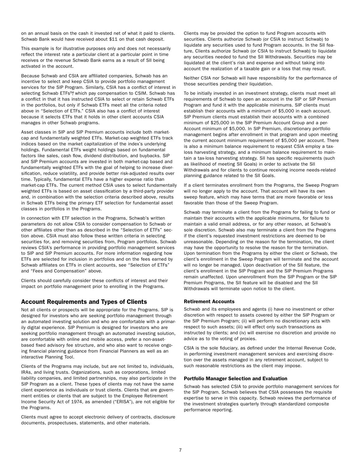<span id="page-13-0"></span>on an annual basis on the cash it invested net of what it paid to clients. Schwab Bank would have received about \$11 on that cash deposit.

This example is for illustrative purposes only and does not necessarily reflect the interest rate a particular client at a particular point in time receives or the revenue Schwab Bank earns as a result of SII being activated in the account.

Because Schwab and CSIA are affiliated companies, Schwab has an incentive to select and keep CSIA to provide portfolio management services for the SIP Program. Similarly, CSIA has a conflict of interest in selecting Schwab ETFs™, which pay compensation to CSIM. Schwab has a conflict in that it has instructed CSIA to select or retain Schwab ETFs in the portfolios, but only if Schwab ETFs meet all the criteria noted above in "Selection of ETFs." CSIA also has a conflict of interest because it selects ETFs that it holds in other client accounts CSIA manages in other Schwab programs.

Asset classes in SIP and SIP Premium accounts include both marketcap and fundamentally weighted ETFs. Market-cap weighted ETFs track indices based on the market capitalization of the index's underlying holdings. Fundamental ETFs weight holdings based on fundamental factors like sales, cash flow, dividend distribution, and buybacks. SIP and SIP Premium accounts are invested in both market-cap based and fundamentally weighted ETFs with the goal of helping to increase diversification, reduce volatility, and provide better risk-adjusted results over time. Typically, fundamental ETFs have a higher expense ratio than market-cap ETFs. The current method CSIA uses to select fundamentally weighted ETFs is based on asset classification by a third-party provider and, in combination with the selection criteria described above, results in Schwab ETFs being the primary ETF selection for fundamental asset classes in portfolios in the Programs.

In connection with ETF selection in the Programs, Schwab's written parameters do not allow CSIA to consider compensation to Schwab or other affiliates other than as described in the "Selection of ETFs" section above. CSIA must also follow these written criteria in selecting securities for, and removing securities from, Program portfolios. Schwab reviews CSIA's performance in providing portfolio management services to SIP and SIP Premium accounts. For more information regarding how ETFs are selected for inclusion in portfolios and on the fees earned by Schwab affiliates on ETFs in client accounts, see "Selection of ETFs" and "Fees and Compensation" above.

Clients should carefully consider these conflicts of interest and their impact on portfolio management prior to enrolling in the Programs.

# Account Requirements and Types of Clients

Not all clients or prospects will be appropriate for the Programs. SIP is designed for investors who are seeking portfolio management through an automated investing solution and who are comfortable with a primarily digital experience. SIP Premium is designed for investors who are seeking portfolio management through an automated investing solution, are comfortable with online and mobile access, prefer a non-assetbased fixed advisory fee structure, and who also want to receive ongoing financial planning guidance from Financial Planners as well as an interactive Planning Tool.

Clients of the Programs may include, but are not limited to, individuals, IRAs, and living trusts. Organizations, such as corporations, limited liability companies, and limited partnerships, may also participate in the SIP Program as a client. These types of clients may not have the same client experience as individuals or trust clients. Clients that are government entities or clients that are subject to the Employee Retirement Income Security Act of 1974, as amended ("ERISA"), are not eligible for the Programs.

Clients must agree to accept electronic delivery of contracts, disclosure documents, prospectuses, statements, and other materials.

Clients may be provided the option to fund Program accounts with securities. Clients authorize Schwab (or CSIA to instruct Schwab) to liquidate any securities used to fund Program accounts. In the SII feature, Clients authorize Schwab (or CSIA to instruct Schwab) to liquidate any securities needed to fund the SII Withdrawals. Securities may be liquidated at the client's risk and expense and without taking into account the realization of a taxable gain or a loss that may result.

Neither CSIA nor Schwab will have responsibility for the performance of those securities pending their liquidation.

To be initially invested in an investment strategy, clients must meet all requirements of Schwab to open an account in the SIP or SIP Premium Program and fund it with the applicable minimums. SIP clients must establish their accounts with a minimum of \$5,000 in each account. SIP Premium clients must establish their accounts with a combined minimum of \$25,000 in the SIP Premium Account Group and a per-Account minimum of \$5,000. In SIP Premium, discretionary portfolio management begins after enrollment in that program and upon meeting the current account minimum requirement of \$5,000 per account. There is also a minimum balance requirement to request CSIA employ a taxloss harvesting strategy, and a minimum balance requirement to maintain a tax-loss harvesting strategy. SII has specific requirements (such as likelihood of meeting SII Goals) in order to activate the SII Withdrawals and for clients to continue receiving income needs-related planning guidance related to the SII Goals.

If a client terminates enrollment from the Programs, the Sweep Program will no longer apply to the account. That account will have its own sweep feature, which may have terms that are more favorable or less favorable than those of the Sweep Program.

Schwab may terminate a client from the Programs for failing to fund or maintain their accounts with the applicable minimums, for failure to maintain a valid email address, or for any other reason, at Schwab's sole discretion. Schwab also may terminate a client from the Programs if the client's requested investment restrictions are deemed to be unreasonable. Depending on the reason for the termination, the client may have the opportunity to resolve the reason for the termination. Upon termination from the Programs by either the client or Schwab, the client's enrollment in the Sweep Program will terminate and the account will no longer be managed. Upon deactivation of the SII feature, the client's enrollment in the SIP Program and the SIP Premium Programs remain unaffected. Upon unenrollment from the SIP Program or the SIP Premium Programs, the SII feature will be disabled and the SII Withdrawals will terminate upon notice to the client.

# Retirement Accounts

Schwab and its employees and agents (i) have no investment or other discretion with respect to assets covered by either the SIP Program or the SIP Premium Program; (ii) will perform no discretionary acts with respect to such assets; (iii) will effect only such transactions as instructed by clients; and (iv) will exercise no discretion and provide no advice as to the voting of proxies.

CSIA is the sole fiduciary, as defined under the Internal Revenue Code, in performing investment management services and exercising discretion over the assets managed in any retirement account, subject to such reasonable restrictions as the client may impose.

# Portfolio Manager Selection and Evaluation

Schwab has selected CSIA to provide portfolio management services for the SIP Program. Schwab believes that CSIA possesses the requisite expertise to serve in this capacity. Schwab reviews the performance of the investment strategies quarterly through standardized composite performance reporting.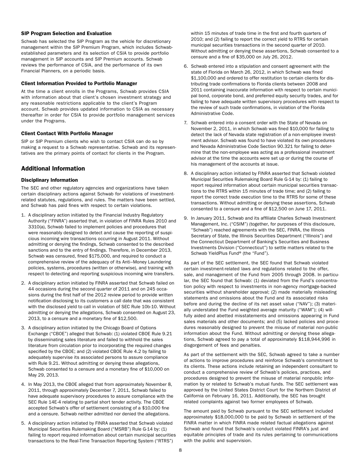### <span id="page-14-0"></span>SIP Program Selection and Evaluation

Schwab has selected the SIP Program as the vehicle for discretionary management within the SIP Premium Program, which includes Schwabestablished parameters and its selection of CSIA to provide portfolio management in SIP accounts and SIP Premium accounts. Schwab reviews the performance of CSIA, and the performance of its own Financial Planners, on a periodic basis.

#### Client Information Provided to Portfolio Manager

At the time a client enrolls in the Programs, Schwab provides CSIA with information about that client's chosen investment strategy and any reasonable restrictions applicable to the client's Program account. Schwab provides updated information to CSIA as necessary thereafter in order for CSIA to provide portfolio management services under the Programs.

# Client Contact With Portfolio Manager

SIP or SIP Premium clients who wish to contact CSIA can do so by making a request to a Schwab representative. Schwab and its representatives are the primary points of contact for clients in the Program.

# Additional Information

# Disciplinary Information

The SEC and other regulatory agencies and organizations have taken certain disciplinary actions against Schwab for violations of investmentrelated statutes, regulations, and rules. The matters have been settled, and Schwab has paid fines with respect to certain violations.

- 1. A disciplinary action initiated by the Financial Industry Regulatory Authority ("FINRA") asserted that, in violation of FINRA Rules 2010 and 3310(a), Schwab failed to implement policies and procedures that were reasonably designed to detect and cause the reporting of suspicious incoming wire transactions occurring in August 2011. Without admitting or denying the findings, Schwab consented to the described sanctions and to the entry of findings. Therefore, in December 2013, Schwab was censured, fined \$175,000, and required to conduct a comprehensive review of the adequacy of its Anti–Money Laundering policies, systems, procedures (written or otherwise), and training with respect to detecting and reporting suspicious incoming wire transfers.
- 2. A disciplinary action initiated by FINRA asserted that Schwab failed on 44 occasions during the second quarter of 2011 and on 245 occasions during the first half of the 2012 review period to provide written notification disclosing to its customers a call date that was consistent with the disclosed yield to call in violation of SEC Rule 10b-10. Without admitting or denying the allegations, Schwab consented on August 23, 2013, to a censure and a monetary fine of \$12,500.
- 3. A disciplinary action initiated by the Chicago Board of Options Exchange ("CBOE") alleged that Schwab: (1) violated CBOE Rule 9.21 by disseminating sales literature and failed to withhold the sales literature from circulation prior to incorporating the required changes specified by the CBOE; and (2) violated CBOE Rule 4.2 by failing to adequately supervise its associated persons to assure compliance with Rule 9.21. Without admitting or denying these allegations, Schwab consented to a censure and a monetary fine of \$10,000 on May 29, 2013.
- 4. In May 2013, the CBOE alleged that from approximately November 8, 2011, through approximately December 7, 2011, Schwab failed to have adequate supervisory procedures to assure compliance with the SEC Rule 14E-4 relating to partial short tender activity. The CBOE accepted Schwab's offer of settlement consisting of a \$10,000 fine and a censure. Schwab neither admitted nor denied the allegations.
- 5. A disciplinary action initiated by FINRA asserted that Schwab violated Municipal Securities Rulemaking Board ("MSRB") Rule G-14 by: (1) failing to report required information about certain municipal securities transactions to the Real-Time Transaction Reporting System ("RTRS")

within 15 minutes of trade time in the first and fourth quarters of 2010; and (2) failing to report the correct yield to RTRS for certain municipal securities transactions in the second quarter of 2010. Without admitting or denying these assertions, Schwab consented to a censure and a fine of \$35,000 on July 26, 2012.

- 6. Schwab entered into a stipulation and consent agreement with the state of Florida on March 26, 2012, in which Schwab was fined \$1,100,000 and ordered to offer restitution to certain clients for distributing trade confirmations to Florida clients between 2008 and 2011 containing inaccurate information with respect to certain municipal bond, corporate bond, and preferred equity security trades, and for failing to have adequate written supervisory procedures with respect to the review of such trade confirmations, in violation of the Florida Administrative Code.
- 7. Schwab entered into a consent order with the State of Nevada on November 2, 2011, in which Schwab was fined \$10,000 for failing to detect the lack of Nevada state registration of a non-employee investment advisor. Schwab was found to have violated its own procedures and Nevada Administrative Code Section 90.321 for failing to determine that the non-employee was acting as a professional investment advisor at the time the accounts were set up or during the course of his management of the accounts at issue.
- 8. A disciplinary action initiated by FINRA asserted that Schwab violated Municipal Securities Rulemaking Board Rule G-14 by: (1) failing to report required information about certain municipal securities transactions to the RTRS within 15 minutes of trade time; and (2) failing to report the correct trade execution time to the RTRS for some of these transactions. Without admitting or denying these assertions, Schwab consented to a censure and a fine of \$12,500 on June 17, 2011.
- 9. In January 2011, Schwab and its affiliate Charles Schwab Investment Management, Inc. ("CSIM") (together, for purposes of this disclosure, "Schwab") reached agreements with the SEC, FINRA, the Illinois Secretary of State, the Illinois Securities Department ("Illinois") and the Connecticut Department of Banking's Securities and Business Investments Division ("Connecticut") to settle matters related to the Schwab YieldPlus Fund® (the "Fund").

As part of the SEC settlement, the SEC found that Schwab violated certain investment-related laws and regulations related to the offer, sale, and management of the Fund from 2005 through 2008. In particular, the SEC found that Schwab: (1) deviated from the Fund's concentration policy with respect to investments in non-agency mortgage-backed securities without shareholder approval; (2) made materially misleading statements and omissions about the Fund and its associated risks before and during the decline of its net asset value ("NAV"); (3) materially understated the Fund weighted average maturity ("WAM"); (4) willfully aided and abetted misstatements and omissions appearing in Fund sales materials and other documents; and (5) lacked policies and procedures reasonably designed to prevent the misuse of material non-public information about the Fund. Without admitting or denying these allegations, Schwab agreed to pay a total of approximately \$118,944,996 in disgorgement of fees and penalties.

As part of the settlement with the SEC, Schwab agreed to take a number of actions to improve procedures and reinforce Schwab's commitment to its clients. These actions include retaining an independent consultant to conduct a comprehensive review of Schwab's policies, practices, and procedures designed to prevent the misuse of material nonpublic information by or related to Schwab's mutual funds. The SEC settlement was approved by the United States District Court for the Northern District of California on February 16, 2011. Additionally, the SEC has brought related complaints against two former employees of Schwab.

The amount paid by Schwab pursuant to the SEC settlement included approximately \$18,000,000 to be paid by Schwab in settlement of the FINRA matter in which FINRA made related factual allegations against Schwab and found that Schwab's conduct violated FINRA's just and equitable principles of trade and its rules pertaining to communications with the public and supervision.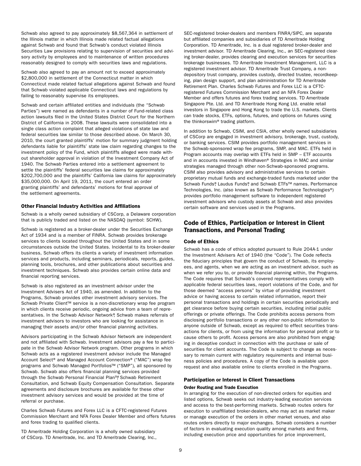<span id="page-15-0"></span>Schwab also agreed to pay approximately \$8,567,364 in settlement of the Illinois matter in which Illinois made related factual allegations against Schwab and found that Schwab's conduct violated Illinois Securities Law provisions relating to supervision of securities and advisory activity by employees and to maintenance of written procedures reasonably designed to comply with securities laws and regulations.

Schwab also agreed to pay an amount not to exceed approximately \$2,800,000 in settlement of the Connecticut matter in which Connecticut made related factual allegations against Schwab and found that Schwab violated applicable Connecticut laws and regulations by failing to reasonably supervise its employees.

Schwab and certain affiliated entities and individuals (the "Schwab Parties") were named as defendants in a number of Fund-related class action lawsuits filed in the United States District Court for the Northern District of California in 2008. These lawsuits were consolidated into a single class action complaint that alleged violations of state law and federal securities law similar to those described above. On March 30, 2010, the court granted plaintiffs' motion for summary judgment holding defendants liable for plaintiffs' state law claim regarding changes to the investment policy of the Fund, which plaintiffs alleged were made without shareholder approval in violation of the Investment Company Act of 1940. The Schwab Parties entered into a settlement agreement to settle the plaintiffs' federal securities law claims for approximately \$202,700,000 and the plaintiffs' California law claims for approximately \$35,000,000. On April 19, 2011, the court entered an order granting plaintiffs' and defendants' motions for final approval of the settlement agreements.

# Other Financial Industry Activities and Affiliations

Schwab is a wholly owned subsidiary of CSCorp, a Delaware corporation that is publicly traded and listed on the NASDAQ (symbol: SCHW).

Schwab is registered as a broker-dealer under the Securities Exchange Act of 1934 and is a member of FINRA. Schwab provides brokerage services to clients located throughout the United States and in some circumstances outside the United States. Incidental to its broker-dealer business, Schwab offers its clients a variety of investment information services and products, including seminars, periodicals, reports, guides, planning tools, brochures, and other publications about securities and investment techniques. Schwab also provides certain online data and financial reporting services.

Schwab is also registered as an investment advisor under the Investment Advisers Act of 1940, as amended. In addition to the Programs, Schwab provides other investment advisory services. The Schwab Private Client<sup>™</sup> service is a non-discretionary wrap fee program in which clients receive periodic, ongoing advice from a team of representatives. In the Schwab Advisor Network®, Schwab makes referrals of investment advisors to investors who are looking for assistance in managing their assets and/or other financial planning activities.

Advisors participating in the Schwab Advisor Network are independent and not affiliated with Schwab. Investment advisors pay a fee to participate in the Schwab Advisor Network program. Other programs in which Schwab acts as a registered investment advisor include the Managed Account Select® and Managed Account Connection® ("MAC") wrap fee programs and Schwab Managed Portfolios™ ("SMP"), all sponsored by Schwab. Schwab also offers financial planning services provided through the Schwab Personal Financial Plan™, Schwab Retirement Consultation, and Schwab Equity Compensation Consultation. Separate agreements and disclosure brochures are available for these other investment advisory services and would be provided at the time of referral or purchase.

Charles Schwab Futures and Forex LLC is a CFTC-registered Futures Commission Merchant and NFA Forex Dealer Member and offers futures and forex trading to qualified clients.

TD Ameritrade Holding Corporation is a wholly owned subsidiary of CSCorp. TD Ameritrade, Inc. and TD Ameritrade Clearing, Inc.,

SEC-registered broker-dealers and members FINRA/SIPC, are separate but affiliated companies and subsidiaries of TD Ameritrade Holding Corporation. TD Ameritrade, Inc. is a dual registered broker-dealer and investment advisor. TD Ameritrade Clearing, Inc., an SEC-registered clearing broker-dealer, provides clearing and execution services for securities brokerage businesses. TD Ameritrade Investment Management, LLC is a registered investment advisor. TD Ameritrade Trust Company, a nondepository trust company, provides custody, directed trustee, recordkeeping, plan design support, and plan administration for TD Ameritrade Retirement Plan. Charles Schwab Futures and Forex LLC is a CFTCregistered Futures Commission Merchant and an NFA Forex Dealer Member and offers futures and forex trading services. TD Ameritrade Singapore Pte. Ltd. and TD Ameritrade Hong Kong Ltd. enable retail investors in Singapore and Hong Kong to trade the U.S. markets. Clients can trade stocks, ETFs, options, futures, and options on futures using the thinkorswim® trading platform.

In addition to Schwab, CSIM, and CSIA, other wholly owned subsidiaries of CSCorp are engaged in investment advisory, brokerage, trust, custody, or banking services. CSIM provides portfolio management services in the Schwab-sponsored wrap fee programs, SMP, and MAC. ETFs held in Program accounts may overlap with ETFs held in SMP – ETF accounts and in accounts invested in Windhaven® Strategies in MAC and similar strategies managed through other non-Schwab-sponsored programs. CSIM also provides advisory and administrative services to certain proprietary mutual funds and exchange-traded funds marketed under the Schwab Funds®, Laudus Funds®, and Schwab ETFs™ names. Performance Technologies, Inc. (also known as Schwab Performance Technologies®) provides portfolio management software to independent registered investment advisors who custody assets at Schwab and also provides certain software and services used in the Programs.

# Code of Ethics, Participation or Interest in Client Transactions, and Personal Trading

# Code of Ethics

Schwab has a code of ethics adopted pursuant to Rule 204A-1 under the Investment Advisers Act of 1940 (the "Code"). The Code reflects the fiduciary principles that govern the conduct of Schwab, its employees, and agents, when we are acting as an investment advisor, such as when we refer you to, or provide financial planning within, the Programs. The Code requires that Schwab's covered representatives comply with applicable federal securities laws, report violations of the Code, and for those deemed "access persons" by virtue of providing investment advice or having access to certain related information, report their personal transactions and holdings in certain securities periodically and get clearance before buying certain securities, including initial public offerings or private offerings. The Code prohibits access persons from disclosing portfolio transactions or any other non-public information to anyone outside of Schwab, except as required to effect securities transactions for clients, or from using the information for personal profit or to cause others to profit. Access persons are also prohibited from engaging in deceptive conduct in connection with the purchase or sale of securities for client accounts. The Code is subject to change as necessary to remain current with regulatory requirements and internal business policies and procedures. A copy of the Code is available upon request and also available online to clients enrolled in the Programs.

#### Participation or Interest in Client Transactions

# Order Routing and Trade Execution

In arranging for the execution of non-directed orders for equities and listed options, Schwab seeks out industry-leading execution services and access to the best-performing markets. Schwab routes orders for execution to unaffiliated broker-dealers, who may act as market maker or manage execution of the orders in other market venues, and also routes orders directly to major exchanges. Schwab considers a number of factors in evaluating execution quality among markets and firms, including execution price and opportunities for price improvement,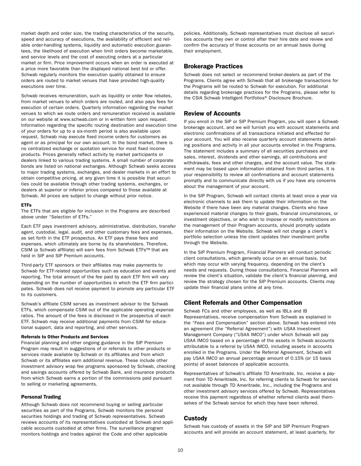<span id="page-16-0"></span>market depth and order size, the trading characteristics of the security, speed and accuracy of executions, the availability of efficient and reliable order-handling systems, liquidity and automatic execution guarantees, the likelihood of execution when limit orders become marketable, and service levels and the cost of executing orders at a particular market or firm. Price improvement occurs when an order is executed at a price more favorable than the displayed national best bid or offer. Schwab regularly monitors the execution quality obtained to ensure orders are routed to market venues that have provided high-quality executions over time.

Schwab receives remuneration, such as liquidity or order flow rebates, from market venues to which orders are routed, and also pays fees for execution of certain orders. Quarterly information regarding the market venues to which we route orders and remuneration received is available on our website at [www.schwab.com](https://www.schwab.com) or in written form upon request. Information regarding the specific routing destination and execution time of your orders for up to a six-month period is also available upon request. Schwab may execute fixed income orders for customers as agent or as principal for our own account. In the bond market, there is no centralized exchange or quotation service for most fixed income products. Prices generally reflect activity by market participants or dealers linked to various trading systems. A small number of corporate bonds are listed on national exchanges. Although Schwab seeks access to major trading systems, exchanges, and dealer markets in an effort to obtain competitive pricing, at any given time it is possible that securities could be available through other trading systems, exchanges, or dealers at superior or inferior prices compared to those available at Schwab. All prices are subject to change without prior notice.

#### ETFs

The ETFs that are eligible for inclusion in the Programs are described above under "Selection of ETFs."

Each ETF pays investment advisory, administrative, distribution, transfer agent, custodial, legal, audit, and other customary fees and expenses, as set forth in the ETF prospectus. An ETF pays these fees and expenses, which ultimately are borne by its shareholders. Therefore, CSIM (a Schwab affiliate) will earn fees from Schwab ETFs™ that are held in SIP and SIP Premium accounts.

Third-party ETF sponsors or their affiliates may make payments to Schwab for ETF-related opportunities such as education and events and reporting. The total amount of the fee paid by each ETF firm will vary depending on the number of opportunities in which the ETF firm participates. Schwab does not receive payment to promote any particular ETF to its customers.

Schwab's affiliate CSIM serves as investment advisor to the Schwab ETFs, which compensate CSIM out of the applicable operating expense ratios. The amount of the fees is disclosed in the prospectus of each ETF. Schwab may receive additional payments from CSIM for educational support, data and reporting, and other services.

# Referrals to Other Products and Services

Financial planning and other ongoing guidance in the SIP Premium Program may result in suggestions of or referrals to other products or services made available by Schwab or its affiliates and from which Schwab or its affiliates earn additional revenue. These include other investment advisory wrap fee programs sponsored by Schwab, checking and savings accounts offered by Schwab Bank, and insurance products from which Schwab earns a portion of the commissions paid pursuant to selling or marketing agreements.

# Personal Trading

Although Schwab does not recommend buying or selling particular securities as part of the Programs, Schwab monitors the personal securities holdings and trading of Schwab representatives. Schwab reviews accounts of its representatives custodied at Schwab and applicable accounts custodied at other firms. The surveillance program monitors holdings and trades against the Code and other applicable

policies. Additionally, Schwab representatives must disclose all securities accounts they own or control after their hire date and review and confirm the accuracy of those accounts on an annual basis during their employment.

# Brokerage Practices

Schwab does not select or recommend broker-dealers as part of the Programs. Clients agree with Schwab that all brokerage transactions for the Programs will be routed to Schwab for execution. For additional details regarding brokerage practices for the Programs, please refer to the CSIA Schwab Intelligent Portfolios® Disclosure Brochure.

# Review of Accounts

If you enroll in the SIP or SIP Premium Program, you will open a Schwab brokerage account, and we will furnish you with account statements and electronic confirmations of all transactions initiated and effected for your account. You will also receive quarterly account statements detailing positions and activity in all your accounts enrolled in the Programs. The statement includes a summary of all securities purchases and sales, interest, dividends and other earnings, all contributions and withdrawals, fees and other charges, and the account value. The statement may be based upon information obtained from third parties. It is your responsibility to review all confirmations and account statements promptly and to communicate directly with us if you have any concerns about the management of your account.

In the SIP Program, Schwab will contact clients at least once a year via electronic channels to ask them to update their information on the Website if there have been any material changes. Clients who have experienced material changes to their goals, financial circumstances, or investment objectives, or who wish to impose or modify restrictions on the management of their Program accounts, should promptly update their information on the Website. Schwab will not change a client's portfolio selection unless the client updates their investment profile through the Website.

In the SIP Premium Program, Financial Planners will conduct periodic client consultations, which generally occur on an annual basis, but which may occur with varying frequency, depending on the client's needs and requests. During those consultations, Financial Planners will review the client's situation, validate the client's financial planning, and review the strategy chosen for the SIP Premium accounts. Clients may update their financial plans online at any time.

# Client Referrals and Other Compensation

Schwab FCs and other employees, as well as IBLs and IB Representatives, receive compensation from Schwab as explained in the "Fees and Compensation" section above. Schwab has entered into an agreement (the "Referral Agreement") with USAA Investment Management Company ("USAA IMCO") under which Schwab will pay USAA IMCO based on a percentage of the assets in Schwab accounts attributable to a referral by USAA IMCO, including assets in accounts enrolled in the Programs. Under the Referral Agreement, Schwab will pay USAA IMCO an annual percentage amount of 0.15% (or 15 basis points) of asset balances of applicable accounts.

Representatives of Schwab's affiliate TD Ameritrade, Inc. receive a payment from TD Ameritrade, Inc. for referring clients to Schwab for services not available through TD Ameritrade, Inc., including the Programs and other investment advisory services offered by Schwab. Representatives receive this payment regardless of whether referred clients avail themselves of the Schwab service for which they have been referred.

# Custody

Schwab has custody of assets in the SIP and SIP Premium Program accounts and will provide an account statement, at least quarterly, for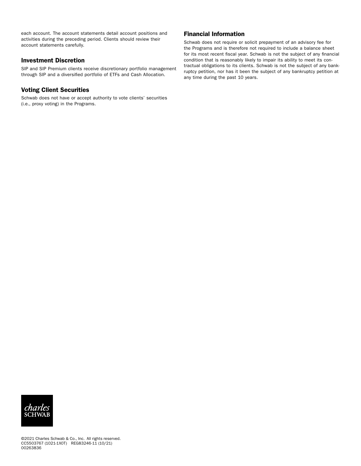<span id="page-17-0"></span>each account. The account statements detail account positions and activities during the preceding period. Clients should review their account statements carefully.

# Investment Discretion

SIP and SIP Premium clients receive discretionary portfolio management through SIP and a diversified portfolio of ETFs and Cash Allocation.

# Voting Client Securities

Schwab does not have or accept authority to vote clients' securities (i.e., proxy voting) in the Programs.

# Financial Information

Schwab does not require or solicit prepayment of an advisory fee for the Programs and is therefore not required to include a balance sheet for its most recent fiscal year. Schwab is not the subject of any financial condition that is reasonably likely to impair its ability to meet its contractual obligations to its clients. Schwab is not the subject of any bankruptcy petition, nor has it been the subject of any bankruptcy petition at any time during the past 10 years.

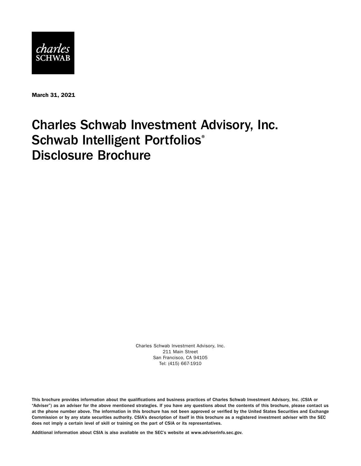

March 31, 2021

# Charles Schwab Investment Advisory, Inc. Schwab Intelligent Portfolios® Disclosure Brochure

Charles Schwab Investment Advisory, Inc. 211 Main Street San Francisco, CA 94105 Tel: (415) 667-1910

This brochure provides information about the qualifications and business practices of Charles Schwab Investment Advisory, Inc. (CSIA or "Adviser") as an adviser for the above mentioned strategies. If you have any questions about the contents of this brochure, please contact us at the phone number above. The information in this brochure has not been approved or verified by the United States Securities and Exchange Commission or by any state securities authority. CSIA's description of itself in this brochure as a registered investment adviser with the SEC does not imply a certain level of skill or training on the part of CSIA or its representatives.

Additional information about CSIA is also available on the SEC's website at [www.adviserinfo.sec.gov.](http://www.adviserinfo.sec.gov)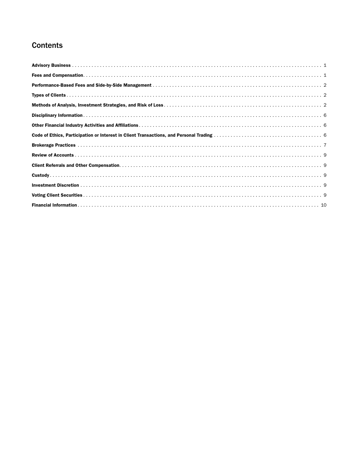# **Contents**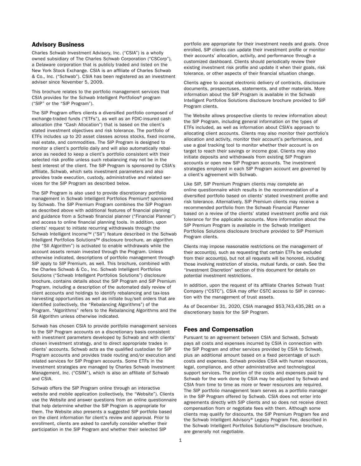# <span id="page-20-0"></span>Advisory Business

Charles Schwab Investment Advisory, Inc. ("CSIA") is a wholly owned subsidiary of The Charles Schwab Corporation ("CSCorp"), a Delaware corporation that is publicly traded and listed on the New York Stock Exchange. CSIA is an affiliate of Charles Schwab & Co., Inc. ("Schwab"). CSIA has been registered as an investment adviser since November 5, 2009.

This brochure relates to the portfolio management services that CSIA provides for the Schwab Intelligent Portfolios® program ("SIP" or the "SIP Program").

The SIP Program offers clients a diversified portfolio composed of exchange-traded funds ("ETFs"), as well as an FDIC-insured cash allocation (the "Cash Allocation") that is based on the client's stated investment objectives and risk tolerance. The portfolio of ETFs includes up to 20 asset classes across stocks, fixed income, real estate, and commodities. The SIP Program is designed to monitor a client's portfolio daily and will also automatically rebalance as needed to keep a client's portfolio consistent with their selected risk profile unless such rebalancing may not be in the best interest of the client. The SIP Program is sponsored by CSIA's affiliate, Schwab, which sets investment parameters and also provides trade execution, custody, administrative and related services for the SIP Program as described below.

The SIP Program is also used to provide discretionary portfolio management in Schwab Intelligent Portfolios Premium®, sponsored by Schwab. The SIP Premium Program combines the SIP Program as described above with additional features of financial planning and guidance from a Schwab financial planner ("Financial Planner") and access to online financial planning tools. In addition, upon clients' request to initiate recurring withdrawals through the Schwab Intelligent Income™ ("SII") feature described in the Schwab Intelligent Portfolios Solutions™ disclosure brochure, an algorithm (the "SII Algorithm") is activated to enable withdrawals while the account assets remain invested through the Program. Unless otherwise indicated, descriptions of portfolio management through SIP apply to SIP Premium, as well. This brochure, combined with the Charles Schwab & Co., Inc. Schwab Intelligent Portfolios Solutions ("Schwab Intelligent Portfolios Solutions") disclosure brochure, contains details about the SIP Program and SIP Premium Program, including a description of the automated daily review of client accounts and holdings to identify rebalancing and tax-loss harvesting opportunities as well as initiate buy/sell orders that are identified (collectively, the "Rebalancing Algorithms") of the Program. "Algorithms" refers to the Rebalancing Algorithms and the SII Algorithm unless otherwise indicated.

Schwab has chosen CSIA to provide portfolio management services to the SIP Program accounts on a discretionary basis consistent with investment parameters developed by Schwab and with clients' chosen investment strategy, and to direct appropriate trades in clients' accounts. Schwab acts as the qualified custodian for SIP Program accounts and provides trade routing and/or execution and related services for SIP Program accounts. Some ETFs in the investment strategies are managed by Charles Schwab Investment Management, Inc. ("CSIM"), which is also an affiliate of Schwab and CSIA.

Schwab offers the SIP Program online through an interactive website and mobile application (collectively, the "Website"). Clients use the Website and answer questions from an online questionnaire that help determine whether the SIP Program is appropriate for them. The Website also presents a suggested SIP portfolio based on the client information for client's review and approval. Prior to enrollment, clients are asked to carefully consider whether their participation in the SIP Program and whether their selected SIP

portfolio are appropriate for their investment needs and goals. Once enrolled, SIP clients can update their investment profile or monitor their accounts' allocation, activity, and performance through a customized dashboard. Clients should periodically review their existing investment risk profile and update it when their goals, risk tolerance, or other aspects of their financial situation change.

Clients agree to accept electronic delivery of contracts, disclosure documents, prospectuses, statements, and other materials. More information about the SIP Program is available in the Schwab Intelligent Portfolios Solutions disclosure brochure provided to SIP Program clients.

The Website allows prospective clients to review information about the SIP Program, including general information on the types of ETFs included, as well as information about CSIA's approach to allocating client accounts. Clients may also monitor their portfolio's allocation and activity, monitor their account's performance, and use a goal tracking tool to monitor whether their account is on target to reach their savings or income goal. Clients may also initiate deposits and withdrawals from existing SIP Program accounts or open new SIP Program accounts. The investment strategies employed in each SIP Program account are governed by a client's agreement with Schwab.

Like SIP, SIP Premium Program clients may complete an online questionnaire which results in the recommendation of a diversified portfolio based on clients' stated investment profile and risk tolerance. Alternatively, SIP Premium clients may receive a recommended portfolio from the Schwab Financial Planner based on a review of the clients' stated investment profile and risk tolerance for the applicable accounts. More information about the SIP Premium Program is available in the Schwab Intelligent Portfolios Solutions disclosure brochure provided to SIP Premium Program clients.

Clients may impose reasonable restrictions on the management of their account(s), such as requesting that certain ETFs be excluded from their account(s), but not all requests will be honored, including those involving restriction of stocks, mutual funds, or cash. See the "Investment Discretion" section of this document for details on potential investment restrictions.

In addition, upon the request of its affiliate Charles Schwab Trust Company ("CSTC"), CSIA may offer CSTC access to SIP in connection with the management of trust assets.

As of December 31, 2020, CSIA managed \$53,743,435,281 on a discretionary basis for the SIP Program.

# Fees and Compensation

Pursuant to an agreement between CSIA and Schwab, Schwab pays all costs and expenses incurred by CSIA in connection with the SIP Program and other services provided by CSIA to Schwab, plus an additional amount based on a fixed percentage of such costs and expenses. Schwab provides CSIA with human resources, legal, compliance, and other administrative and technological support services. The portion of the costs and expenses paid by Schwab for the work done by CSIA may be adjusted by Schwab and CSIA from time to time as more or fewer resources are required. The SIP portfolio management team serves as a portfolio manager in the SIP Program offered by Schwab. CSIA does not enter into agreements directly with SIP clients and so does not receive direct compensation from or negotiate fees with them. Although some clients may qualify for discounts, the SIP Premium Program fee and the Schwab Intelligent Advisory® Legacy Program Fee, described in the Schwab Intelligent Portfolios Solutions™ disclosure brochure, are generally not negotiable.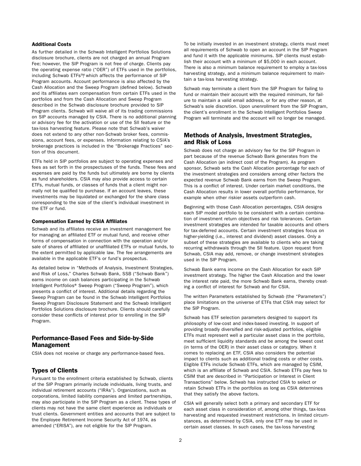# <span id="page-21-0"></span>Additional Costs

As further detailed in the Schwab Intelligent Portfolios Solutions disclosure brochure, clients are not charged an annual Program Fee; however, the SIP Program is not free of charge. Clients pay the operating expense ratio ("OER") of ETFs used in the portfolios, including Schwab ETFs™, which affects the performance of SIP Program accounts. Account performance is also affected by the Cash Allocation and the Sweep Program (defined below). Schwab and its affiliates earn compensation from certain ETFs used in the portfolios and from the Cash Allocation and Sweep Program described in the Schwab disclosure brochure provided to SIP Program clients. Schwab will waive all of its trading commissions on SIP accounts managed by CSIA. There is no additional planning or advisory fee for the activation or use of the SII feature or the tax-loss harvesting feature. Please note that Schwab's waiver does not extend to any other non-Schwab broker fees, commissions, account fees, or expenses. Information relating to CSIA's brokerage practices is included in the "Brokerage Practices" section of this document.

ETFs held in SIP portfolios are subject to operating expenses and fees as set forth in the prospectuses of the funds. These fees and expenses are paid by the funds but ultimately are borne by clients as fund shareholders. CSIA may also provide access to certain ETFs, mutual funds, or classes of funds that a client might normally not be qualified to purchase. If an account leaves, these investments may be liquidated or exchanged for the share class corresponding to the size of the client's individual investment in the ETF or fund.

#### Compensation Earned by CSIA Affiliates

Schwab and its affiliates receive an investment management fee for managing an affiliated ETF or mutual fund, and receive other forms of compensation in connection with the operation and/or sale of shares of affiliated or unaffiliated ETFs or mutual funds, to the extent permitted by applicable law. The fee arrangements are available in the applicable ETF's or fund's prospectus.

As detailed below in "Methods of Analysis, Investment Strategies, and Risk of Loss," Charles Schwab Bank, SSB ("Schwab Bank") earns income on cash balances participating in the Schwab Intelligent Portfolios® Sweep Program ("Sweep Program"), which presents a conflict of interest. Additional details regarding the Sweep Program can be found in the Schwab Intelligent Portfolios Sweep Program Disclosure Statement and the Schwab Intelligent Portfolios Solutions disclosure brochure. Clients should carefully consider these conflicts of interest prior to enrolling in the SIP Program.

# Performance-Based Fees and Side-by-Side Management

CSIA does not receive or charge any performance-based fees.

# Types of Clients

Pursuant to the enrollment criteria established by Schwab, clients of the SIP Program primarily include individuals, living trusts, and individual retirement accounts ("IRAs"). Organizations, such as corporations, limited liability companies and limited partnerships, may also participate in the SIP Program as a client. These types of clients may not have the same client experience as individuals or trust clients. Government entities and accounts that are subject to the Employee Retirement Income Security Act of 1974, as amended ("ERISA"), are not eligible for the SIP Program.

To be initially invested in an investment strategy, clients must meet all requirements of Schwab to open an account in the SIP Program and fund it with the applicable minimums. SIP clients must establish their account with a minimum of \$5,000 in each account. There is also a minimum balance requirement to employ a tax-loss harvesting strategy, and a minimum balance requirement to maintain a tax-loss harvesting strategy.

Schwab may terminate a client from the SIP Program for failing to fund or maintain their account with the required minimum, for failure to maintain a valid email address, or for any other reason, at Schwab's sole discretion. Upon unenrollment from the SIP Program, the client's enrollment in the Schwab Intelligent Portfolios Sweep Program will terminate and the account will no longer be managed.

# Methods of Analysis, Investment Strategies, and Risk of Loss

Schwab does not charge an advisory fee for the SIP Program in part because of the revenue Schwab Bank generates from the Cash Allocation (an indirect cost of the Program). As program sponsor, Schwab sets the Cash Allocation percentage for each of the investment strategies and considers among other factors the expected revenue Schwab Bank earns from the Sweep Program. This is a conflict of interest. Under certain market conditions, the Cash Allocation results in lower overall portfolio performance, for example when other riskier assets outperform cash.

Beginning with those Cash Allocation percentages, CSIA designs each SIP model portfolio to be consistent with a certain combination of investment return objectives and risk tolerances. Certain investment strategies are intended for taxable accounts and others for tax-deferred accounts. Certain investment strategies focus on higher-yielding (i.e., interest and dividend) asset classes. Only a subset of these strategies are available to clients who are taking recurring withdrawals through the SII feature. Upon request from Schwab, CSIA may add, remove, or change investment strategies used in the SIP Program.

Schwab Bank earns income on the Cash Allocation for each SIP investment strategy. The higher the Cash Allocation and the lower the interest rate paid, the more Schwab Bank earns, thereby creating a conflict of interest for Schwab and for CSIA.

The written Parameters established by Schwab (the "Parameters") place limitations on the universe of ETFs that CSIA may select for the SIP Program.

Schwab has ETF selection parameters designed to support its philosophy of low-cost and index-based investing. In support of providing broadly diversified and risk-adjusted portfolios, eligible ETFs must represent well a particular asset class in the portfolio, meet sufficient liquidity standards and be among the lowest cost (in terms of the OER) in their asset class or category. When it comes to replacing an ETF, CSIA also considers the potential impact to clients such as additional trading costs or other costs. Eligible ETFs include Schwab ETFs, which are managed by CSIM, which is an affiliate of Schwab and CSIA. Schwab ETFs pay fees to CSIM that are described in "Participation or Interest in Client Transactions" below. Schwab has instructed CSIA to select or retain Schwab ETFs in the portfolios as long as CSIA determines that they satisfy the above factors.

CSIA will generally select both a primary and secondary ETF for each asset class in consideration of, among other things, tax-loss harvesting and requested investment restrictions. In limited circumstances, as determined by CSIA, only one ETF may be used in certain asset classes. In such cases, the tax-loss harvesting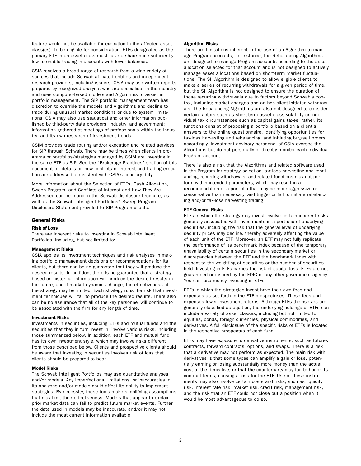feature would not be available for execution in the affected asset class(es). To be eligible for consideration, ETFs designated as the primary ETF in an asset class must have a share price sufficiently low to enable trading in accounts with lower balances.

CSIA receives a broad range of research from a wide variety of sources that include Schwab-affiliated entities and independent research providers, including issuers. CSIA may use written reports prepared by recognized analysts who are specialists in the industry and uses computer-based models and Algorithms to assist in portfolio management. The SIP portfolio management team has discretion to override the models and Algorithms and decline to trade during unusual market conditions or due to system limitations. CSIA may also use statistical and other information published by third-party data providers, industry, and government; information gathered at meetings of professionals within the industry; and its own research of investment trends.

CSIM provides trade routing and/or execution and related services for SIP through Schwab. There may be times when clients in programs or portfolios/strategies managed by CSIM are investing in the same ETF as SIP. See the "Brokerage Practices" section of this document for details on how conflicts of interest and trading execution are addressed, consistent with CSIA's fiduciary duty.

More information about the Selection of ETFs, Cash Allocation, Sweep Program, and Conflicts of Interest and How They Are Addressed can be found in the Schwab disclosure brochure, as well as the Schwab Intelligent Portfolios® Sweep Program Disclosure Statement provided to SIP Program clients.

#### General Risks

# Risk of Loss

There are inherent risks to investing in Schwab Intelligent Portfolios, including, but not limited to:

#### Management Risks

CSIA applies its investment techniques and risk analyses in making portfolio management decisions or recommendations for its clients, but there can be no guarantee that they will produce the desired results. In addition, there is no guarantee that a strategy based on historical information will produce the desired results in the future, and if market dynamics change, the effectiveness of the strategy may be limited. Each strategy runs the risk that investment techniques will fail to produce the desired results. There also can be no assurance that all of the key personnel will continue to be associated with the firm for any length of time.

#### Investment Risks

Investments in securities, including ETFs and mutual funds and the securities that they in turn invest in, involve various risks, including those summarized below. In addition, each ETF and mutual fund has its own investment style, which may involve risks different from those described below. Clients and prospective clients should be aware that investing in securities involves risk of loss that clients should be prepared to bear.

#### Model Risks

The Schwab Intelligent Portfolios may use quantitative analyses and/or models. Any imperfections, limitations, or inaccuracies in its analyses and/or models could affect its ability to implement strategies. By necessity, these tools make simplifying assumptions that may limit their effectiveness. Models that appear to explain prior market data can fail to predict future market events. Further, the data used in models may be inaccurate, and/or it may not include the most current information available.

#### Algorithm Risks

There are limitations inherent in the use of an Algorithm to manage Program accounts; for instance, the Rebalancing Algorithms are designed to manage Program accounts according to the asset allocation selected for that account and is not designed to actively manage asset allocations based on short-term market fluctuations. The SII Algorithm is designed to allow eligible clients to make a series of recurring withdrawals for a given period of time, but the SII Algorithm is not designed to ensure the duration of those recurring withdrawals due to factors beyond Schwab's control, including market changes and ad hoc client-initiated withdrawals. The Rebalancing Algorithms are also not designed to consider certain factors such as short-term asset class volatility or individual tax circumstances such as capital gains taxes; rather, its functions consist of proposing a portfolio based on a client's answers to the online questionnaire, identifying opportunities for tax-loss harvesting and rebalancing, and initiating buy/sell orders accordingly. Investment advisory personnel of CSIA oversee the Algorithms but do not personally or directly monitor each individual Program account.

There is also a risk that the Algorithms and related software used in the Program for strategy selection, tax-loss harvesting and rebalancing, recurring withdrawals, and related functions may not perform within intended parameters, which may result in a recommendation of a portfolio that may be more aggressive or conservative than necessary, and trigger or fail to initiate rebalancing and/or tax-loss harvesting trading.

#### ETF General Risks

ETFs in which the strategy may invest involve certain inherent risks generally associated with investments in a portfolio of underlying securities, including the risk that the general level of underlying security prices may decline, thereby adversely affecting the value of each unit of the ETF. Moreover, an ETF may not fully replicate the performance of its benchmark index because of the temporary unavailability of certain securities in the secondary market or discrepancies between the ETF and the benchmark index with respect to the weighting of securities or the number of securities held. Investing in ETFs carries the risk of capital loss. ETFs are not guaranteed or insured by the FDIC or any other government agency. You can lose money investing in ETFs.

ETFs in which the strategies invest have their own fees and expenses as set forth in the ETF prospectuses. These fees and expenses lower investment returns. Although ETFs themselves are generally classified as equities, the underlying holdings of ETFs can include a variety of asset classes, including but not limited to equities, bonds, foreign currencies, physical commodities, and derivatives. A full disclosure of the specific risks of ETFs is located in the respective prospectus of each fund.

ETFs may have exposure to derivative instruments, such as futures contracts, forward contracts, options, and swaps. There is a risk that a derivative may not perform as expected. The main risk with derivatives is that some types can amplify a gain or loss, potentially earning or losing substantially more money than the actual cost of the derivative, or that the counterparty may fail to honor its contract terms, causing a loss for the ETF. Use of these instruments may also involve certain costs and risks, such as liquidity risk, interest rate risk, market risk, credit risk, management risk, and the risk that an ETF could not close out a position when it would be most advantageous to do so.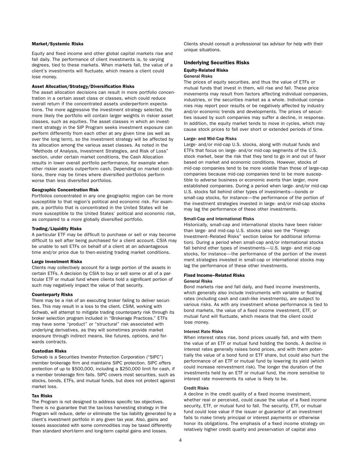### Market/Systemic Risks

Equity and fixed income and other global capital markets rise and fall daily. The performance of client investments is, to varying degrees, tied to these markets. When markets fall, the value of a client's investments will fluctuate, which means a client could lose money.

#### Asset Allocation/Strategy/Diversification Risks

The asset allocation decisions can result in more portfolio concentration in a certain asset class or classes, which could reduce overall return if the concentrated assets underperform expectations. The more aggressive the investment strategy selected, the more likely the portfolio will contain larger weights in riskier asset classes, such as equities. The asset classes in which an investment strategy in the SIP Program seeks investment exposure can perform differently from each other at any given time (as well as over the long term), so the investment strategy will be affected by its allocation among the various asset classes. As noted in the "Methods of Analysis, Investment Strategies, and Risk of Loss" section, under certain market conditions, the Cash Allocation results in lower overall portfolio performance, for example when other riskier assets outperform cash. Depending on market conditions, there may be times where diversified portfolios perform worse than less diversified portfolios.

#### Geographic Concentration Risk

Portfolios concentrated in any one geographic region can be more susceptible to that region's political and economic risk. For example, a portfolio that is concentrated in the United States will be more susceptible to the United States' political and economic risk, as compared to a more globally diversified portfolio.

#### Trading/Liquidity Risks

A particular ETF may be difficult to purchase or sell or may become difficult to sell after being purchased for a client account. CSIA may be unable to sell ETFs on behalf of a client at an advantageous time and/or price due to then-existing trading market conditions.

#### Large Investment Risks

Clients may collectively account for a large portion of the assets in certain ETFs. A decision by CSIA to buy or sell some or all of a particular ETF or mutual fund where clients hold a significant portion of such may negatively impact the value of that security.

#### Counterparty Risks

There may be a risk of an executing broker failing to deliver securities. This may result in a loss to the client. CSIM, working with Schwab, will attempt to mitigate trading counterparty risk through its broker selection program included in "Brokerage Practices." ETFs may have some "product" or "structural" risk associated with underlying derivatives, as they will sometimes provide market exposure through indirect means, like futures, options, and forwards contracts.

### Custodian Risks

Schwab is a Securities Investor Protection Corporation ("SIPC") member brokerage firm and maintains SIPC protection. SIPC offers protection of up to \$500,000, including a \$250,000 limit for cash, if a member brokerage firm fails. SIPC covers most securities, such as stocks, bonds, ETFs, and mutual funds, but does not protect against market loss.

#### Tax Risks

The Program is not designed to address specific tax objectives. There is no guarantee that the tax-loss harvesting strategy in the Program will reduce, defer or eliminate the tax liability generated by a client's investment portfolio in any given tax year. Also, gains and losses associated with some commodities may be taxed differently than standard short-term and long-term capital gains and losses.

Clients should consult a professional tax advisor for help with their unique situations.

#### Underlying Securities Risks

#### Equity-Related Risks General Risks

The prices of equity securities, and thus the value of ETFs or mutual funds that invest in them, will rise and fall. These price movements may result from factors affecting individual companies, industries, or the securities market as a whole. Individual companies may report poor results or be negatively affected by industry and/or economic trends and developments. The prices of securities issued by such companies may suffer a decline, in response. In addition, the equity market tends to move in cycles, which may cause stock prices to fall over short or extended periods of time.

#### Large- and Mid-Cap Risks

Large- and/or mid-cap U.S. stocks, along with mutual funds and ETFs that focus on large- and/or mid-cap segments of the U.S. stock market, bear the risk that they tend to go in and out of favor based on market and economic conditions. However, stocks of mid-cap companies tend to be more volatile than those of large-cap companies because mid-cap companies tend to be more susceptible to adverse business or economic events than larger, more established companies. During a period when large- and/or mid-cap U.S. stocks fall behind other types of investments—bonds or small-cap stocks, for instance—the performance of the portion of the investment strategies invested in large- and/or mid-cap stocks may lag the performance of these other investments.

#### Small-Cap and International Risks

Historically, small-cap and international stocks have been riskier than large- and mid-cap U.S. stocks (also see the "Foreign Investment–Related Risks" section below for additional information). During a period when small-cap and/or international stocks fall behind other types of investments—U.S. large- and mid-cap stocks, for instance—the performance of the portion of the investment strategies invested in small-cap or international stocks may lag the performance of these other investments.

#### Fixed Income–Related Risks

#### General Risks

Bond markets rise and fall daily, and fixed income investments, which generally also include instruments with variable or floating rates (including cash and cash-like investments), are subject to various risks. As with any investment whose performance is tied to bond markets, the value of a fixed income investment, ETF, or mutual fund will fluctuate, which means that the client could lose money.

#### Interest Rate Risks

When interest rates rise, bond prices usually fall, and with them the value of an ETF or mutual fund holding the bonds. A decline in interest rates generally raises bond prices, and with them potentially the value of a bond fund or ETF share, but could also hurt the performance of an ETF or mutual fund by lowering its yield (which could increase reinvestment risk). The longer the duration of the investments held by an ETF or mutual fund, the more sensitive to interest rate movements its value is likely to be.

# Credit Risks

A decline in the credit quality of a fixed income investment, whether real or perceived, could cause the value of a fixed income security, ETF, or mutual fund to fall. The security, ETF, or mutual fund could lose value if the issuer or guarantor of an investment fails to make timely principal or interest payments or otherwise honor its obligations. The emphasis of a fixed income strategy on relatively higher credit quality and preservation of capital also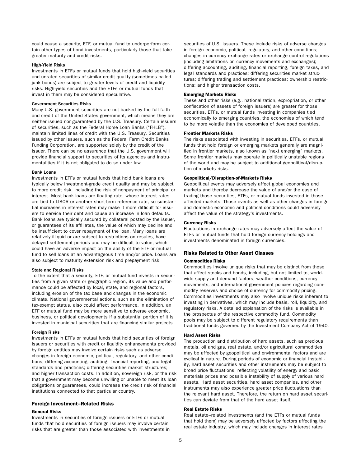could cause a security, ETF, or mutual fund to underperform certain other types of bond investments, particularly those that take greater maturity and credit risks.

# High-Yield Risks

Investments in ETFs or mutual funds that hold high-yield securities and unrated securities of similar credit quality (sometimes called junk bonds) are subject to greater levels of credit and liquidity risks. High-yield securities and the ETFs or mutual funds that invest in them may be considered speculative.

# Government Securities Risks

Many U.S. government securities are not backed by the full faith and credit of the United States government, which means they are neither issued nor guaranteed by the U.S. Treasury. Certain issuers of securities, such as the Federal Home Loan Banks ("FHLB"), maintain limited lines of credit with the U.S. Treasury. Securities issued by other issuers, such as the Federal Farm Credit Banks Funding Corporation, are supported solely by the credit of the issuer. There can be no assurance that the U.S. government will provide financial support to securities of its agencies and instrumentalities if it is not obligated to do so under law.

#### Bank Loans

Investments in ETFs or mutual funds that hold bank loans are typically below investment-grade credit quality and may be subject to more credit risk, including the risk of nonpayment of principal or interest. Most bank loans are floating rate, whose interest rates are tied to LIBOR or another short-term reference rate, so substantial increases in interest rates may make it more difficult for issuers to service their debt and cause an increase in loan defaults. Bank loans are typically secured by collateral posted by the issuer, or guarantees of its affiliates, the value of which may decline and be insufficient to cover repayment of the loan. Many loans are relatively illiquid or are subject to restrictions on resales, have delayed settlement periods and may be difficult to value, which could have an adverse impact on the ability of the ETF or mutual fund to sell loans at an advantageous time and/or price. Loans are also subject to maturity extension risk and prepayment risk.

#### State and Regional Risks

To the extent that a security, ETF, or mutual fund invests in securities from a given state or geographic region, its value and performance could be affected by local, state, and regional factors, including erosion of the tax base and changes in the economic climate. National governmental actions, such as the elimination of tax-exempt status, also could affect performance. In addition, an ETF or mutual fund may be more sensitive to adverse economic, business, or political developments if a substantial portion of it is invested in municipal securities that are financing similar projects.

#### Foreign Risks

Investments in ETFs or mutual funds that hold securities of foreign issuers or securities with credit or liquidity enhancements provided by foreign entities may involve certain risks such as adverse changes in foreign economic, political, regulatory, and other conditions; differing accounting, auditing, financial reporting, and legal standards and practices; differing securities market structures; and higher transaction costs. In addition, sovereign risk, or the risk that a government may become unwilling or unable to meet its loan obligations or guarantees, could increase the credit risk of financial institutions connected to that particular country.

# Foreign Investment–Related Risks

#### General Risks

Investments in securities of foreign issuers or ETFs or mutual funds that hold securities of foreign issuers may involve certain risks that are greater than those associated with investments in securities of U.S. issuers. These include risks of adverse changes in foreign economic, political, regulatory, and other conditions; changes in currency exchange rates or exchange control regulations (including limitations on currency movements and exchanges); differing accounting, auditing, financial reporting, foreign taxes, and legal standards and practices; differing securities market structures; differing trading and settlement practices; ownership restrictions; and higher transaction costs.

#### Emerging Markets Risks

These and other risks (e.g., nationalization, expropriation, or other confiscation of assets of foreign issuers) are greater for those securities, ETFs, or mutual funds investing in companies tied economically to emerging countries, the economies of which tend to be more volatile than the economies of developed countries.

#### Frontier Markets Risks

The risks associated with investing in securities, ETFs, or mutual funds that hold foreign or emerging markets generally are magnified in frontier markets, also known as "next emerging" markets. Some frontier markets may operate in politically unstable regions of the world and may be subject to additional geopolitical/disruption-of-markets risks.

#### Geopolitical/Disruption-of-Markets Risks

Geopolitical events may adversely affect global economies and markets and thereby decrease the value of and/or the ease of trading those securities, ETFs, or mutual funds invested in those affected markets. Those events as well as other changes in foreign and domestic economic and political conditions could adversely affect the value of the strategy's investments.

#### Currency Risks

Fluctuations in exchange rates may adversely affect the value of ETFs or mutual funds that hold foreign currency holdings and investments denominated in foreign currencies.

# Risks Related to Other Asset Classes

#### Commodities Risks

Commodities involve unique risks that may be distinct from those that affect stocks and bonds, including, but not limited to, worldwide supply and demand factors, weather conditions, currency movements, and international government policies regarding commodity reserves and choice of currency for commodity pricing. Commodities investments may also involve unique risks inherent to investing in derivatives, which may include basis, roll, liquidity, and regulatory risks. A detailed explanation of the risks is available in the prospectus of the respective commodity fund. Commodity pools may be subject to different regulatory requirements than traditional funds governed by the Investment Company Act of 1940.

#### Hard Asset Risks

The production and distribution of hard assets, such as precious metals, oil and gas, real estate, and/or agricultural commodities, may be affected by geopolitical and environmental factors and are cyclical in nature. During periods of economic or financial instability, hard asset securities and other instruments may be subject to broad price fluctuations, reflecting volatility of energy and basic materials prices and possible instability of supply of various hard assets. Hard asset securities, hard asset companies, and other instruments may also experience greater price fluctuations than the relevant hard asset. Therefore, the return on hard asset securities can deviate from that of the hard asset itself.

#### Real Estate Risks

Real estate–related investments (and the ETFs or mutual funds that hold them) may be adversely affected by factors affecting the real estate industry, which may include changes in interest rates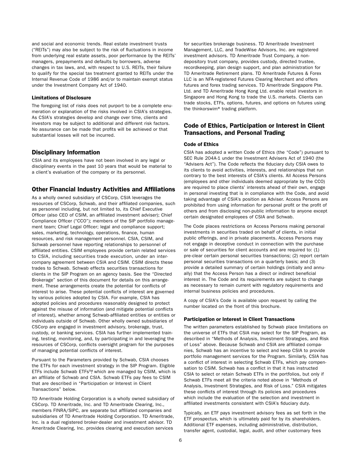<span id="page-25-0"></span>and social and economic trends. Real estate investment trusts ("REITs") may also be subject to the risk of fluctuations in income from underlying real estate assets, poor performance by the REITs' managers, prepayments and defaults by borrowers, adverse changes in tax laws, and, with respect to U.S. REITs, their failure to qualify for the special tax treatment granted to REITs under the Internal Revenue Code of 1986 and/or to maintain exempt status under the Investment Company Act of 1940.

# Limitations of Disclosure

The foregoing list of risks does not purport to be a complete enumeration or explanation of the risks involved in CSIA's strategies. As CSIA's strategies develop and change over time, clients and investors may be subject to additional and different risk factors. No assurance can be made that profits will be achieved or that substantial losses will not be incurred.

# Disciplinary Information

CSIA and its employees have not been involved in any legal or disciplinary events in the past 10 years that would be material to a client's evaluation of the company or its personnel.

# Other Financial Industry Activities and Affiliations

As a wholly owned subsidiary of CSCorp, CSIA leverages the resources of CSCorp, Schwab, and their affiliated companies, such as personnel including, but not limited to, its Chief Executive Officer (also CEO of CSIM, an affiliated investment adviser); Chief Compliance Officer ("CCO"); members of the SIP portfolio management team; Chief Legal Officer; legal and compliance support; sales, marketing, technology, operations, finance, human resources, and risk management personnel. CSIA, CSIM, and Schwab personnel have reporting relationships to personnel of affiliated entities. CSIM employees provide certain related services to CSIA, including securities trade execution, under an intercompany agreement between CSIA and CSIM. CSIM directs these trades to Schwab. Schwab effects securities transactions for clients in the SIP Program on an agency basis. See the "Directed Brokerage" section of this document for details on this arrangement. These arrangements create the potential for conflicts of interest to arise. These potential conflicts of interest are governed by various policies adopted by CSIA. For example, CSIA has adopted policies and procedures reasonably designed to protect against the misuse of information (and mitigate potential conflicts of interest), whether among Schwab-affiliated entities or entities or individuals outside of Schwab. Other wholly owned subsidiaries of CSCorp are engaged in investment advisory, brokerage, trust, custody, or banking services. CSIA has further implemented training, testing, monitoring, and, by participating in and leveraging the resources of CSCorp, conflicts oversight program for the purposes of managing potential conflicts of interest.

Pursuant to the Parameters provided by Schwab, CSIA chooses the ETFs for each investment strategy in the SIP Program. Eligible ETFs include Schwab ETFs™, which are managed by CSIM, which is an affiliate of Schwab and CSIA. Schwab ETFs pay fees to CSIM that are described in "Participation or Interest in Client Transactions" below.

TD Ameritrade Holding Corporation is a wholly owned subsidiary of CSCorp. TD Ameritrade, Inc. and TD Ameritrade Clearing, Inc., members FINRA/SIPC, are separate but affiliated companies and subsidiaries of TD Ameritrade Holding Corporation. TD Ameritrade, Inc. is a dual registered broker-dealer and investment advisor. TD Ameritrade Clearing, Inc. provides clearing and execution services

for securities brokerage business. TD Ameritrade Investment Management, LLC, and TradeWise Advisors, Inc. are registered investment advisors. TD Ameritrade Trust Company, a nondepository trust company, provides custody, directed trustee, recordkeeping, plan design support, and plan administration for TD Ameritrade Retirement plans. TD Ameritrade Futures & Forex LLC is an NFA-registered Futures Clearing Merchant and offers futures and forex trading services. TD Ameritrade Singapore Pte. Ltd. and TD Ameritrade Hong Kong Ltd. enable retail investors in Singapore and Hong Kong to trade the U.S. markets. Clients can trade stocks, ETFs, options, futures, and options on futures using the thinkorswim® trading platform.

# Code of Ethics, Participation or Interest in Client Transactions, and Personal Trading

#### Code of Ethics

CSIA has adopted a written Code of Ethics (the "Code") pursuant to SEC Rule 204A-1 under the Investment Advisers Act of 1940 (the "Advisers Act"). The Code reflects the fiduciary duty CSIA owes to its clients to avoid activities, interests, and relationships that run contrary to the best interests of CSIA's clients. All Access Persons (employees and other individuals deemed appropriate by the CCO) are required to place clients' interests ahead of their own, engage in personal investing that is in compliance with the Code, and avoid taking advantage of CSIA's position as Adviser. Access Persons are prohibited from using information for personal profit or the profit of others and from disclosing non-public information to anyone except certain designated employees of CSIA and Schwab.

The Code places restrictions on Access Persons making personal investments in securities traded on behalf of clients, in initial public offerings, and in private placements. Access Persons may not engage in deceptive conduct in connection with the purchase or sale of securities for client accounts and are required to: (1) pre-clear certain personal securities transactions; (2) report certain personal securities transactions on a quarterly basis; and (3) provide a detailed summary of certain holdings (initially and annually) that the Access Person has a direct or indirect beneficial interest in. The Code and its requirements are subject to change as necessary to remain current with regulatory requirements and internal business policies and procedures.

A copy of CSIA's Code is available upon request by calling the number located on the front of this brochure.

#### Participation or Interest in Client Transactions

The written parameters established by Schwab place limitations on the universe of ETFs that CSIA may select for the SIP Program, as described in "Methods of Analysis, Investment Strategies, and Risk of Loss" above. Because Schwab and CSIA are affiliated companies, Schwab has an incentive to select and keep CSIA to provide portfolio management services for the Program. Similarly, CSIA has a conflict of interest in selecting Schwab ETFs, which pay compensation to CSIM. Schwab has a conflict in that it has instructed CSIA to select or retain Schwab ETFs in the portfolios, but only if Schwab ETFs meet all the criteria noted above in "Methods of Analysis, Investment Strategies, and Risk of Loss." CSIA mitigates these conflicts of interest through its policies and procedures which include the evaluation of the selection and investment in affiliated investments consistent with CSIA's fiduciary duty.

Typically, an ETF pays investment advisory fees as set forth in the ETF prospectus, which is ultimately paid for by its shareholders. Additional ETF expenses, including administrative, distribution, transfer agent, custodial, legal, audit, and other customary fees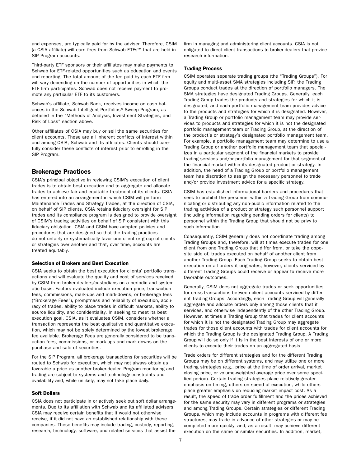<span id="page-26-0"></span>and expenses, are typically paid for by the adviser. Therefore, CSIM (a CSIA affiliate) will earn fees from Schwab ETFs™ that are held in SIP Program accounts.

Third-party ETF sponsors or their affiliates may make payments to Schwab for ETF-related opportunities such as education and events and reporting. The total amount of the fee paid by each ETF firm will vary depending on the number of opportunities in which the ETF firm participates. Schwab does not receive payment to promote any particular ETF to its customers.

Schwab's affiliate, Schwab Bank, receives income on cash balances in the Schwab Intelligent Portfolios® Sweep Program, as detailed in the "Methods of Analysis, Investment Strategies, and Risk of Loss" section above.

Other affiliates of CSIA may buy or sell the same securities for client accounts. These are all inherent conflicts of interest within and among CSIA, Schwab and its affiliates. Clients should carefully consider these conflicts of interest prior to enrolling in the SIP Program.

# Brokerage Practices

CSIA's principal objective in reviewing CSIM's execution of client trades is to obtain best execution and to aggregate and allocate trades to achieve fair and equitable treatment of its clients. CSIA has entered into an arrangement in which CSIM will perform Maintenance Trades and Strategy Trades, at the direction of CSIA, on behalf of SIP clients. CSIA retains fiduciary oversight for SIP trades and its compliance program is designed to provide oversight of CSIM's trading activities on behalf of SIP consistent with this fiduciary obligation. CSIA and CSIM have adopted policies and procedures that are designed so that the trading practices do not unfairly or systematically favor one client or group of clients or strategies over another and that, over time, accounts are treated equitably.

# Selection of Brokers and Best Execution

CSIA seeks to obtain the best execution for clients' portfolio transactions and will evaluate the quality and cost of services received by CSIM from broker-dealers/custodians on a periodic and systematic basis. Factors evaluated include execution price, transaction fees, commissions, mark-ups and mark-downs, or brokerage fees ("Brokerage Fees"), promptness and reliability of execution, accuracy of trades, ability to place trades in difficult markets, ability to source liquidity, and confidentiality. In seeking to meet its best execution goal, CSIA, as it evaluates CSIM, considers whether a transaction represents the best qualitative and quantitative execution, which may not be solely determined by the lowest brokerage fee available. Brokerage Fees are generally considered to be transaction fees, commissions, or mark-ups and mark-downs on the purchase and sale of securities.

For the SIP Program, all brokerage transactions for securities will be routed to Schwab for execution, which may not always obtain as favorable a price as another broker-dealer. Program monitoring and trading are subject to systems and technology constraints and availability and, while unlikely, may not take place daily.

# Soft Dollars

CSIA does not participate in or actively seek out soft dollar arrangements. Due to its affiliation with Schwab and its affiliated advisers, CSIA may receive certain benefits that it would not otherwise receive, if it did not have an established relationship with these companies. These benefits may include trading, custody, reporting, research, technology, software, and related services that assist the

firm in managing and administering client accounts. CSIA is not obligated to direct client transactions to broker-dealers that provide research information.

# Trading Process

CSIM operates separate trading groups (the "Trading Groups"). For equity and multi-asset SMA strategies including SIP, the Trading Groups conduct trades at the direction of portfolio managers. The SMA strategies have designated Trading Groups. Generally, each Trading Group trades the products and strategies for which it is designated, and each portfolio management team provides advice to the products and strategies for which it is designated. However, a Trading Group or portfolio management team may provide services to products and strategies for which it is not the designated portfolio management team or Trading Group, at the direction of the product's or strategy's designated portfolio management team. For example, a portfolio management team may determine to use a Trading Group or another portfolio management team that specializes in a particular segment of the financial markets to provide trading services and/or portfolio management for that segment of the financial market within its designated product or strategy. In addition, the head of a Trading Group or portfolio management team has discretion to assign the necessary personnel to trade and/or provide investment advice for a specific strategy.

CSIM has established informational barriers and procedures that seek to prohibit the personnel within a Trading Group from communicating or distributing any non-public information related to the trading activities of a product or strategy such personnel support (including information regarding pending orders for clients) to personnel within the Trading Group that should not be privy to such information.

Consequently, CSIM generally does not coordinate trading among Trading Groups and, therefore, will at times execute trades for one client from one Trading Group that differ from, or take the opposite side of, trades executed on behalf of another client from another Trading Group. Each Trading Group seeks to obtain best execution on all orders it originates; however, clients serviced by different Trading Groups could receive or appear to receive more favorable outcomes.

Generally, CSIM does not aggregate trades or seek opportunities for cross-transactions between client accounts serviced by different Trading Groups. Accordingly, each Trading Group will generally aggregate and allocate orders only among those clients that it services, and otherwise independently of the other Trading Group. However, at times a Trading Group that trades for client accounts for which it is not the designated Trading Group may aggregate trades for those client accounts with trades for client accounts for which the Trading Group is the designated Trading Group. A Trading Group will do so only if it is in the best interests of one or more clients to execute their trades on an aggregated basis.

Trade orders for different strategies and for the different Trading Groups may be on different systems, and may utilize one or more trading strategies (e.g., price at the time of order arrival, market closing price, or volume-weighted average price over some specified period). Certain trading strategies place relatively greater emphasis on timing, others on speed of execution, while others place greater emphasis on reducing market impact cost. As a result, the speed of trade order fulfillment and the prices achieved for the same security may vary in different programs or strategies and among Trading Groups. Certain strategies or different Trading Groups, which may include accounts in programs with different fee structures, may trade in advance of other strategies or may be completed more quickly, and, as a result, may achieve different execution on the same or similar securities. In addition, market,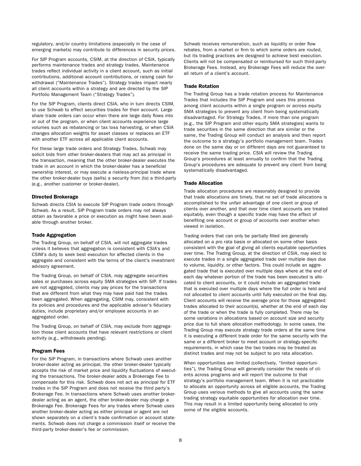regulatory, and/or country limitations (especially in the case of emerging markets) may contribute to differences in security prices.

For SIP Program accounts, CSIM, at the direction of CSIA, typically performs maintenance trades and strategy trades. Maintenance trades reflect individual activity in a client account, such as initial contributions, additional account contributions, or raising cash for withdrawal ("Maintenance Trades"). Strategy trades impact nearly all client accounts within a strategy and are directed by the SIP Portfolio Management Team ("Strategy Trades").

For the SIP Program, clients direct CSIA, who in turn directs CSIM, to use Schwab to effect securities trades for their account. Large share trade orders can occur when there are large daily flows into or out of the program, or when client accounts experience large volumes such as rebalancing or tax loss harvesting, or when CSIA changes allocation weights for asset classes or replaces an ETF with another ETF across all applicable client accounts.

For these large trade orders and Strategy Trades, Schwab may solicit bids from other broker-dealers that may act as principal in the transaction, meaning that the other broker-dealer executes the trade in an account in which the broker-dealer has a beneficial ownership interest, or may execute a riskless-principal trade where the other broker-dealer buys (sells) a security from (to) a third-party (e.g., another customer or broker-dealer).

#### Directed Brokerage

Schwab directs CSIA to execute SIP Program trade orders through Schwab. As a result, SIP Program trade orders may not always obtain as favorable a price or execution as might have been available through another broker.

### Trade Aggregation

The Trading Group, on behalf of CSIA, will not aggregate trades unless it believes that aggregation is consistent with CSIA's and CSIM's duty to seek best execution for affected clients in the aggregate and consistent with the terms of the client's investment advisory agreement.

The Trading Group, on behalf of CSIA, may aggregate securities sales or purchases across equity SMA strategies with SIP. If trades are not aggregated, clients may pay prices for the transactions that are different from what they may have paid had the trades been aggregated. When aggregating, CSIM may, consistent with its policies and procedures and the applicable adviser's fiduciary duties, include proprietary and/or employee accounts in an aggregated order.

The Trading Group, on behalf of CSIA, may exclude from aggregation those client accounts that have relevant restrictions or client activity (e.g., withdrawals pending).

#### Program Fees

For the SIP Program, in transactions where Schwab uses another broker-dealer acting as principal, the other broker-dealer typically accepts the risk of market price and liquidity fluctuations of executing the transactions. The broker-dealer adds a Brokerage Fee to compensate for this risk. Schwab does not act as principal for ETF trades in the SIP Program and does not receive the third party's Brokerage Fee. In transactions where Schwab uses another brokerdealer acting as an agent, the other broker-dealer may charge a Brokerage Fee. Brokerage Fees for any trades where Schwab uses another broker-dealer acting as either principal or agent are not shown separately on a client's trade confirmation or account statements. Schwab does not charge a commission itself or receive the third-party broker-dealer's fee or commission.

Schwab receives remuneration, such as liquidity or order flow rebates, from a market or firm to which some orders are routed, but its trading practices are designed to achieve best execution. Clients will not be compensated or reimbursed for such third-party Brokerage Fees. Instead, any Brokerage Fees will reduce the overall return of a client's account.

# Trade Rotation

The Trading Group has a trade rotation process for Maintenance Trades that includes the SIP Program and uses this process among client accounts within a single program or across equity SMA strategies to prevent any client from being systematically disadvantaged. For Strategy Trades, if more than one program (e.g., the SIP Program and other equity SMA strategies) wants to trade securities in the same direction that are similar or the same, the Trading Group will conduct an analysis and then report the outcome to a strategy's portfolio management team. Trades done on the same day or on different days are not guaranteed to receive the same trading price. CSIA will review the Trading Group's procedures at least annually to confirm that the Trading Group's procedures are adequate to prevent any client from being systematically disadvantaged.

# Trade Allocation

Trade allocation procedures are reasonably designed to provide that trade allocations are timely, that no set of trade allocations is accomplished to the unfair advantage of one client or group of clients over another, and that over time client accounts are treated equitably, even though a specific trade may have the effect of benefiting one account or group of accounts over another when viewed in isolation.

Trading orders that can only be partially filled are generally allocated on a pro rata basis or allocated on some other basis consistent with the goal of giving all clients equitable opportunities over time. The Trading Group, at the direction of CSIA, may elect to execute trades in a single aggregated trade over multiple days due to volume, liquidity, or other factors. This could include an aggregated trade that is executed over multiple days where at the end of each day whatever portion of the trade has been executed is allocated to client accounts, or it could include an aggregated trade that is executed over multiple days where the full order is held and not allocated to client accounts until fully executed on the final day. Client accounts will receive the average price for those aggregated trades allocated to their account(s), whether at the end of each day of the trade or when the trade is fully completed. There may be some variations in allocations based on account size and security price due to full share allocation methodology. In some cases, the Trading Group may execute strategy trade orders at the same time it is executing a different trade order for the same security with the same or a different broker to meet account or strategy-specific requirements, in which case the two trades may be treated as distinct trades and may not be subject to pro rata allocation.

When opportunities are limited (collectively, "limited opportunities"), the Trading Group will generally consider the needs of clients across programs and will report the outcome to that strategy's portfolio management team. When it is not practicable to allocate an opportunity across all eligible accounts, the Trading Group uses various methods to give all accounts using the same trading strategy equitable opportunities for allocation over time. This may result in a limited opportunity being allocated to only some of the eligible accounts.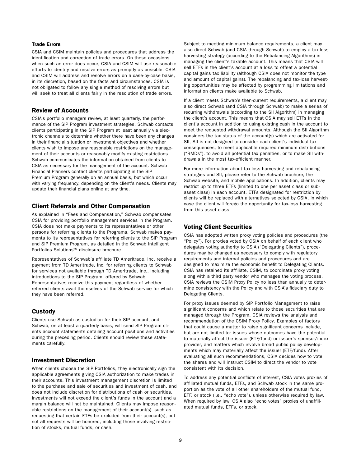# <span id="page-28-0"></span>Trade Errors

CSIA and CSIM maintain policies and procedures that address the identification and correction of trade errors. On those occasions when such an error does occur, CSIA and CSIM will use reasonable efforts to identify and resolve errors as promptly as possible. CSIA and CSIM will address and resolve errors on a case-by-case basis, in its discretion, based on the facts and circumstances. CSIA is not obligated to follow any single method of resolving errors but will seek to treat all clients fairly in the resolution of trade errors.

# Review of Accounts

CSIA's portfolio managers review, at least quarterly, the performance of the SIP Program investment strategies. Schwab contacts clients participating in the SIP Program at least annually via electronic channels to determine whether there have been any changes in their financial situation or investment objectives and whether clients wish to impose any reasonable restrictions on the management of their accounts or reasonably modify existing restrictions. Schwab communicates the information obtained from clients to CSIA as necessary for the management of the account. Schwab Financial Planners contact clients participating in the SIP Premium Program generally on an annual basis, but which occur with varying frequency, depending on the client's needs. Clients may update their financial plans online at any time.

# Client Referrals and Other Compensation

As explained in "Fees and Compensation," Schwab compensates CSIA for providing portfolio management services in the Program. CSIA does not make payments to its representatives or other persons for referring clients to the Programs. Schwab makes payments to its representatives for referring clients to the SIP Program and SIP Premium Program, as detailed in the Schwab Intelligent Portfolios Solutions™ disclosure brochure.

Representatives of Schwab's affiliate TD Ameritrade, Inc. receive a payment from TD Ameritrade, Inc. for referring clients to Schwab for services not available through TD Ameritrade, Inc., including introductions to the SIP Program, offered by Schwab. Representatives receive this payment regardless of whether referred clients avail themselves of the Schwab service for which they have been referred.

# **Custody**

Clients use Schwab as custodian for their SIP account, and Schwab, on at least a quarterly basis, will send SIP Program clients account statements detailing account positions and activities during the preceding period. Clients should review these statements carefully.

# Investment Discretion

When clients choose the SIP Portfolios, they electronically sign the applicable agreements giving CSIA authorization to make trades in their accounts. This investment management discretion is limited to the purchase and sale of securities and investment of cash, and does not include discretion for distributions of cash or securities. Investments will not exceed the client's funds in the account and a margin balance will not be maintained. Clients may impose reasonable restrictions on the management of their account(s), such as requesting that certain ETFs be excluded from their account(s), but not all requests will be honored, including those involving restriction of stocks, mutual funds, or cash.

Subject to meeting minimum balance requirements, a client may also direct Schwab (and CSIA through Schwab) to employ a tax-loss harvesting strategy (according to the Rebalancing Algorithms) in managing the client's taxable account. This means that CSIA will sell ETFs in the client's account at a loss to offset a potential capital gains tax liability (although CSIA does not monitor the type and amount of capital gains). The rebalancing and tax-loss harvesting opportunities may be affected by programming limitations and information clients make available to Schwab.

If a client meets Schwab's then-current requirements, a client may also direct Schwab (and CSIA through Schwab) to make a series of recurring withdrawals (according to the SII Algorithm) in managing the client's account. This means that CSIA may sell ETFs in the client's account in addition to using existing cash in the account to meet the requested withdrawal amounts. Although the SII Algorithm considers the tax status of the account(s) which are activated for SII, SII is not designed to consider each client's individual tax consequences, to meet applicable required minimum distributions ("RMDs"), to avoid all potential tax penalties, or to make SII withdrawals in the most tax-efficient manner.

For more information about tax-loss harvesting and rebalancing strategies and SII, please refer to the Schwab brochure, the Schwab website, and mobile applications. In addition, clients may restrict up to three ETFs (limited to one per asset class or subasset class) in each account. ETFs designated for restriction by clients will be replaced with alternatives selected by CSIA, in which case the client will forego the opportunity for tax-loss harvesting from this asset class.

# Voting Client Securities

CSIA has adopted written proxy voting policies and procedures (the "Policy"). For proxies voted by CSIA on behalf of each client who delegates voting authority to CSIA ("Delegating Clients"), procedures may be changed as necessary to comply with regulatory requirements and internal policies and procedures and are designed to maximize the economic benefit to Delegating Clients. CSIA has retained its affiliate, CSIM, to coordinate proxy voting along with a third party vendor who manages the voting process. CSIA reviews the CSIM Proxy Policy no less than annually to determine consistency with the Policy and with CSIA's fiduciary duty to Delegating Clients.

For proxy issues deemed by SIP Portfolio Management to raise significant concerns and which relate to those securities that are managed through the Program, CSIA reviews the analysis and recommendation of the CSIM Proxy Policy. Examples of factors that could cause a matter to raise significant concerns include, but are not limited to: issues whose outcomes have the potential to materially affect the issuer (ETF/fund) or issuer's sponsor/index provider, and matters which involve broad public policy developments which may materially affect the issuer (ETF/fund). After evaluating all such recommendations, CSIA decides how to vote the shares and will instruct CSIM to direct the vendor to vote consistent with its decision.

To address any potential conflicts of interest, CSIA votes proxies of affiliated mutual funds, ETFs, and Schwab stock in the same proportion as the vote of all other shareholders of the mutual fund, ETF, or stock (i.e., "echo vote"), unless otherwise required by law. When required by law, CSIA also "echo votes" proxies of unaffiliated mutual funds, ETFs, or stock.